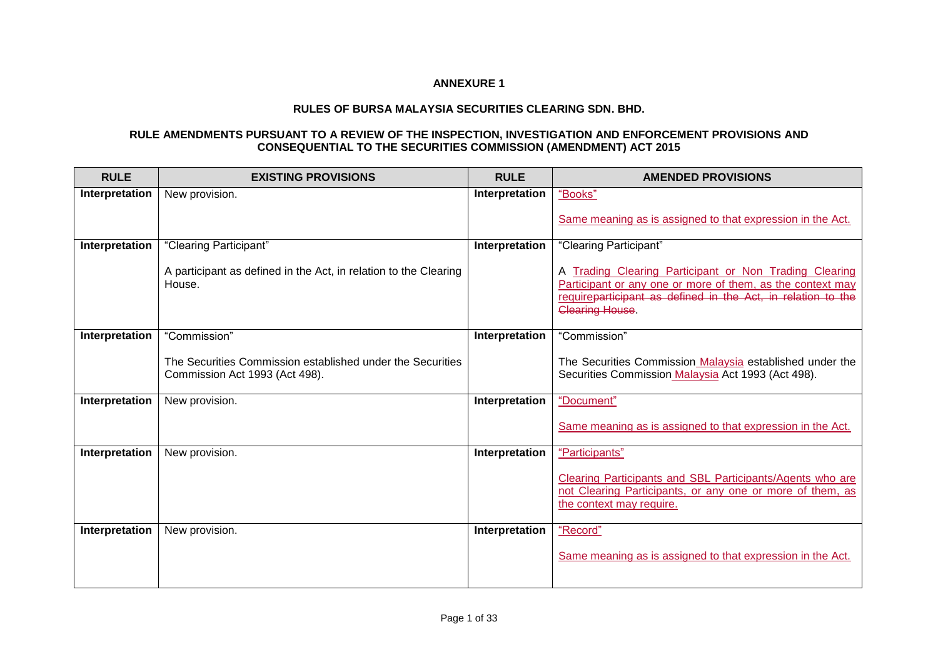## **ANNEXURE 1**

## **RULES OF BURSA MALAYSIA SECURITIES CLEARING SDN. BHD.**

## **RULE AMENDMENTS PURSUANT TO A REVIEW OF THE INSPECTION, INVESTIGATION AND ENFORCEMENT PROVISIONS AND CONSEQUENTIAL TO THE SECURITIES COMMISSION (AMENDMENT) ACT 2015**

| <b>RULE</b>    | <b>EXISTING PROVISIONS</b>                                                                   | <b>RULE</b>    | <b>AMENDED PROVISIONS</b>                                                                                                                                                                                     |
|----------------|----------------------------------------------------------------------------------------------|----------------|---------------------------------------------------------------------------------------------------------------------------------------------------------------------------------------------------------------|
| Interpretation | New provision.                                                                               | Interpretation | "Books"                                                                                                                                                                                                       |
|                |                                                                                              |                | Same meaning as is assigned to that expression in the Act.                                                                                                                                                    |
| Interpretation | "Clearing Participant"                                                                       | Interpretation | "Clearing Participant"                                                                                                                                                                                        |
|                | A participant as defined in the Act, in relation to the Clearing<br>House.                   |                | A Trading Clearing Participant or Non Trading Clearing<br>Participant or any one or more of them, as the context may<br>requireparticipant as defined in the Act, in relation to the<br><b>Clearing House</b> |
| Interpretation | "Commission"                                                                                 | Interpretation | "Commission"                                                                                                                                                                                                  |
|                | The Securities Commission established under the Securities<br>Commission Act 1993 (Act 498). |                | The Securities Commission Malaysia established under the<br>Securities Commission Malaysia Act 1993 (Act 498).                                                                                                |
| Interpretation | New provision.                                                                               | Interpretation | "Document"                                                                                                                                                                                                    |
|                |                                                                                              |                | Same meaning as is assigned to that expression in the Act.                                                                                                                                                    |
| Interpretation | New provision.                                                                               | Interpretation | "Participants"                                                                                                                                                                                                |
|                |                                                                                              |                | Clearing Participants and SBL Participants/Agents who are<br>not Clearing Participants, or any one or more of them, as<br>the context may require.                                                            |
| Interpretation | New provision.                                                                               | Interpretation | "Record"                                                                                                                                                                                                      |
|                |                                                                                              |                | Same meaning as is assigned to that expression in the Act.                                                                                                                                                    |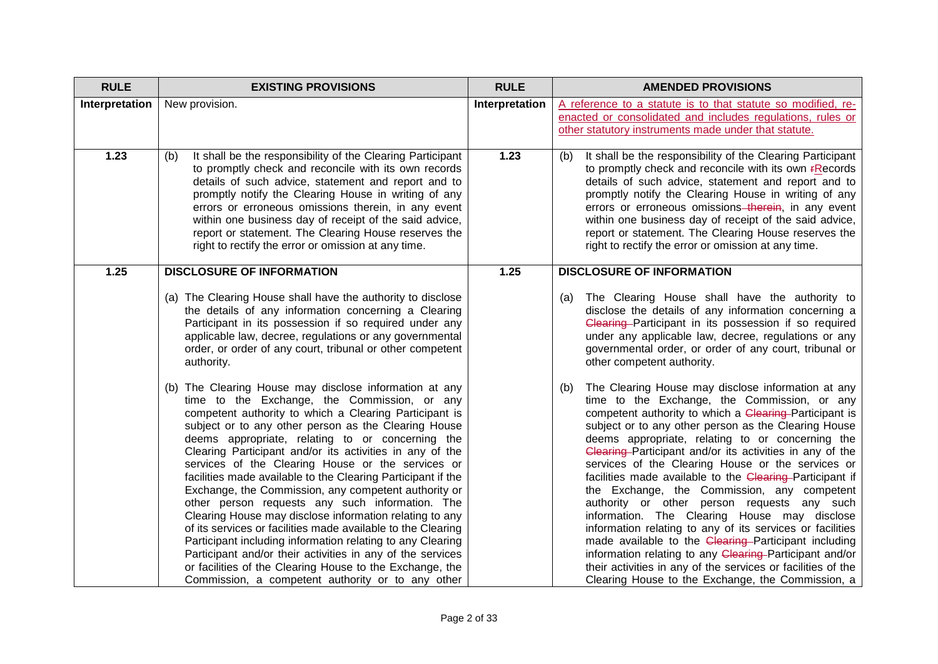| <b>RULE</b>    | <b>EXISTING PROVISIONS</b>                                                                                                                                                                                                                                                                                                                                                                                                                                                                                                                                                                                                                                                                                                                                                                                                                                                                                                                       | <b>RULE</b>    | <b>AMENDED PROVISIONS</b>                                                                                                                                                                                                                                                                                                                                                                                                                                                                                                                                                                                                                                                                                                                                                                                                                                                                                       |
|----------------|--------------------------------------------------------------------------------------------------------------------------------------------------------------------------------------------------------------------------------------------------------------------------------------------------------------------------------------------------------------------------------------------------------------------------------------------------------------------------------------------------------------------------------------------------------------------------------------------------------------------------------------------------------------------------------------------------------------------------------------------------------------------------------------------------------------------------------------------------------------------------------------------------------------------------------------------------|----------------|-----------------------------------------------------------------------------------------------------------------------------------------------------------------------------------------------------------------------------------------------------------------------------------------------------------------------------------------------------------------------------------------------------------------------------------------------------------------------------------------------------------------------------------------------------------------------------------------------------------------------------------------------------------------------------------------------------------------------------------------------------------------------------------------------------------------------------------------------------------------------------------------------------------------|
| Interpretation | New provision.                                                                                                                                                                                                                                                                                                                                                                                                                                                                                                                                                                                                                                                                                                                                                                                                                                                                                                                                   | Interpretation | A reference to a statute is to that statute so modified, re-<br>enacted or consolidated and includes regulations, rules or<br>other statutory instruments made under that statute.                                                                                                                                                                                                                                                                                                                                                                                                                                                                                                                                                                                                                                                                                                                              |
| 1.23           | It shall be the responsibility of the Clearing Participant<br>(b)<br>to promptly check and reconcile with its own records<br>details of such advice, statement and report and to<br>promptly notify the Clearing House in writing of any<br>errors or erroneous omissions therein, in any event<br>within one business day of receipt of the said advice,<br>report or statement. The Clearing House reserves the<br>right to rectify the error or omission at any time.                                                                                                                                                                                                                                                                                                                                                                                                                                                                         | 1.23           | It shall be the responsibility of the Clearing Participant<br>(b)<br>to promptly check and reconcile with its own <b>FRecords</b><br>details of such advice, statement and report and to<br>promptly notify the Clearing House in writing of any<br>errors or erroneous omissions–therein, in any event<br>within one business day of receipt of the said advice,<br>report or statement. The Clearing House reserves the<br>right to rectify the error or omission at any time.                                                                                                                                                                                                                                                                                                                                                                                                                                |
| 1.25           | <b>DISCLOSURE OF INFORMATION</b>                                                                                                                                                                                                                                                                                                                                                                                                                                                                                                                                                                                                                                                                                                                                                                                                                                                                                                                 | 1.25           | <b>DISCLOSURE OF INFORMATION</b>                                                                                                                                                                                                                                                                                                                                                                                                                                                                                                                                                                                                                                                                                                                                                                                                                                                                                |
|                | (a) The Clearing House shall have the authority to disclose<br>the details of any information concerning a Clearing<br>Participant in its possession if so required under any<br>applicable law, decree, regulations or any governmental<br>order, or order of any court, tribunal or other competent<br>authority.                                                                                                                                                                                                                                                                                                                                                                                                                                                                                                                                                                                                                              |                | The Clearing House shall have the authority to<br>(a)<br>disclose the details of any information concerning a<br>Clearing-Participant in its possession if so required<br>under any applicable law, decree, regulations or any<br>governmental order, or order of any court, tribunal or<br>other competent authority.                                                                                                                                                                                                                                                                                                                                                                                                                                                                                                                                                                                          |
|                | (b) The Clearing House may disclose information at any<br>time to the Exchange, the Commission, or any<br>competent authority to which a Clearing Participant is<br>subject or to any other person as the Clearing House<br>deems appropriate, relating to or concerning the<br>Clearing Participant and/or its activities in any of the<br>services of the Clearing House or the services or<br>facilities made available to the Clearing Participant if the<br>Exchange, the Commission, any competent authority or<br>other person requests any such information. The<br>Clearing House may disclose information relating to any<br>of its services or facilities made available to the Clearing<br>Participant including information relating to any Clearing<br>Participant and/or their activities in any of the services<br>or facilities of the Clearing House to the Exchange, the<br>Commission, a competent authority or to any other |                | The Clearing House may disclose information at any<br>(b)<br>time to the Exchange, the Commission, or any<br>competent authority to which a Clearing-Participant is<br>subject or to any other person as the Clearing House<br>deems appropriate, relating to or concerning the<br>Clearing Participant and/or its activities in any of the<br>services of the Clearing House or the services or<br>facilities made available to the Clearing Participant if<br>the Exchange, the Commission, any competent<br>authority or other person requests any such<br>information. The Clearing House may disclose<br>information relating to any of its services or facilities<br>made available to the Clearing-Participant including<br>information relating to any Clearing-Participant and/or<br>their activities in any of the services or facilities of the<br>Clearing House to the Exchange, the Commission, a |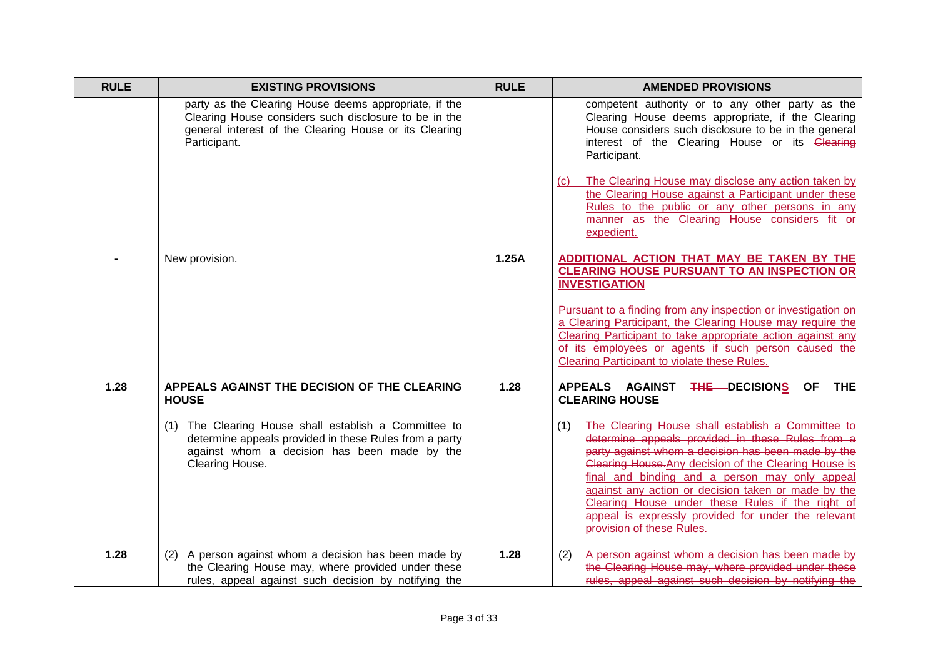| <b>RULE</b> | <b>EXISTING PROVISIONS</b>                                                                                                                                                               | <b>RULE</b> | <b>AMENDED PROVISIONS</b>                                                                                                                                                                                                                                                                                                                                                                                                                                                    |
|-------------|------------------------------------------------------------------------------------------------------------------------------------------------------------------------------------------|-------------|------------------------------------------------------------------------------------------------------------------------------------------------------------------------------------------------------------------------------------------------------------------------------------------------------------------------------------------------------------------------------------------------------------------------------------------------------------------------------|
|             | party as the Clearing House deems appropriate, if the<br>Clearing House considers such disclosure to be in the<br>general interest of the Clearing House or its Clearing<br>Participant. |             | competent authority or to any other party as the<br>Clearing House deems appropriate, if the Clearing<br>House considers such disclosure to be in the general<br>interest of the Clearing House or its Clearing<br>Participant.<br>The Clearing House may disclose any action taken by<br>(C)<br>the Clearing House against a Participant under these<br>Rules to the public or any other persons in any                                                                     |
|             |                                                                                                                                                                                          |             | manner as the Clearing House considers fit or<br>expedient.                                                                                                                                                                                                                                                                                                                                                                                                                  |
|             | New provision.                                                                                                                                                                           | 1.25A       | ADDITIONAL ACTION THAT MAY BE TAKEN BY THE<br><b>CLEARING HOUSE PURSUANT TO AN INSPECTION OR</b><br><b>INVESTIGATION</b>                                                                                                                                                                                                                                                                                                                                                     |
|             |                                                                                                                                                                                          |             | Pursuant to a finding from any inspection or investigation on<br>a Clearing Participant, the Clearing House may require the<br>Clearing Participant to take appropriate action against any<br>of its employees or agents if such person caused the<br><b>Clearing Participant to violate these Rules.</b>                                                                                                                                                                    |
| 1.28        | APPEALS AGAINST THE DECISION OF THE CLEARING<br><b>HOUSE</b>                                                                                                                             | 1.28        | APPEALS AGAINST THE DECISIONS OF THE<br><b>CLEARING HOUSE</b>                                                                                                                                                                                                                                                                                                                                                                                                                |
|             | (1) The Clearing House shall establish a Committee to<br>determine appeals provided in these Rules from a party<br>against whom a decision has been made by the<br>Clearing House.       |             | The Clearing House shall establish a Committee to<br>(1)<br>determine appeals provided in these Rules from a<br>party against whom a decision has been made by the<br>Clearing House. Any decision of the Clearing House is<br>final and binding and a person may only appeal<br>against any action or decision taken or made by the<br>Clearing House under these Rules if the right of<br>appeal is expressly provided for under the relevant<br>provision of these Rules. |
| 1.28        | A person against whom a decision has been made by<br>(2)<br>the Clearing House may, where provided under these<br>rules, appeal against such decision by notifying the                   | 1.28        | A person against whom a decision has been made by<br>(2)<br>the Clearing House may, where provided under these<br>rules, appeal against such decision by notifying the                                                                                                                                                                                                                                                                                                       |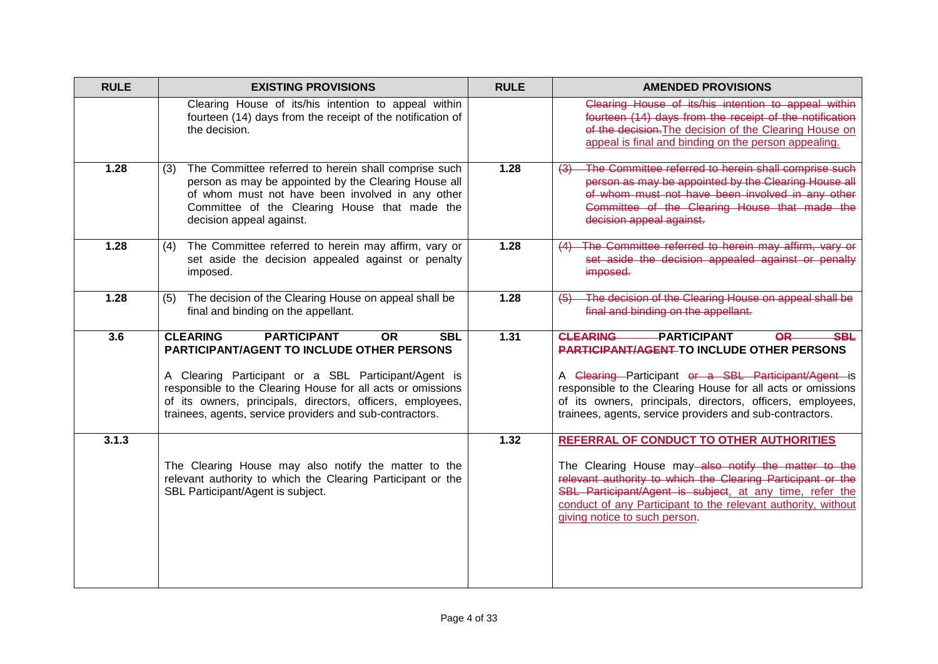| <b>RULE</b> | <b>EXISTING PROVISIONS</b>                                                                                                                                                                                                                                                                                                                                             | <b>RULE</b> | <b>AMENDED PROVISIONS</b>                                                                                                                                                                                                                                                                                                                                        |
|-------------|------------------------------------------------------------------------------------------------------------------------------------------------------------------------------------------------------------------------------------------------------------------------------------------------------------------------------------------------------------------------|-------------|------------------------------------------------------------------------------------------------------------------------------------------------------------------------------------------------------------------------------------------------------------------------------------------------------------------------------------------------------------------|
|             | Clearing House of its/his intention to appeal within<br>fourteen (14) days from the receipt of the notification of<br>the decision.                                                                                                                                                                                                                                    |             | Clearing House of its/his intention to appeal within<br>fourteen (14) days from the receipt of the notification<br>of the decision. The decision of the Clearing House on<br>appeal is final and binding on the person appealing.                                                                                                                                |
| 1.28        | The Committee referred to herein shall comprise such<br>(3)<br>person as may be appointed by the Clearing House all<br>of whom must not have been involved in any other<br>Committee of the Clearing House that made the<br>decision appeal against.                                                                                                                   | 1.28        | The Committee referred to herein shall comprise such<br>$\left(3\right)$<br>person as may be appointed by the Clearing House all<br>of whom must not have been involved in any other<br>Committee of the Clearing House that made the<br>decision appeal against.                                                                                                |
| 1.28        | The Committee referred to herein may affirm, vary or<br>(4)<br>set aside the decision appealed against or penalty<br>imposed.                                                                                                                                                                                                                                          | 1.28        | The Committee referred to herein may affirm, vary or<br>(4)<br>set aside the decision appealed against or penalty<br>imposed.                                                                                                                                                                                                                                    |
| 1.28        | The decision of the Clearing House on appeal shall be<br>(5)<br>final and binding on the appellant.                                                                                                                                                                                                                                                                    | 1.28        | The decision of the Clearing House on appeal shall be<br>(5)<br>final and binding on the appellant.                                                                                                                                                                                                                                                              |
| 3.6         | <b>PARTICIPANT</b><br><b>CLEARING</b><br><b>OR</b><br><b>SBL</b><br><b>PARTICIPANT/AGENT TO INCLUDE OTHER PERSONS</b><br>A Clearing Participant or a SBL Participant/Agent is<br>responsible to the Clearing House for all acts or omissions<br>of its owners, principals, directors, officers, employees,<br>trainees, agents, service providers and sub-contractors. | 1.31        | <b>CLEARING</b><br>-PARTICIPANT<br><b>OR</b><br><b>SBL</b><br><b>PARTICIPANT/AGENT-TO INCLUDE OTHER PERSONS</b><br>A Clearing Participant or a SBL Participant/Agent is<br>responsible to the Clearing House for all acts or omissions<br>of its owners, principals, directors, officers, employees,<br>trainees, agents, service providers and sub-contractors. |
| 3.1.3       | The Clearing House may also notify the matter to the<br>relevant authority to which the Clearing Participant or the<br>SBL Participant/Agent is subject.                                                                                                                                                                                                               | 1.32        | REFERRAL OF CONDUCT TO OTHER AUTHORITIES<br>The Clearing House may-also notify the matter to the<br>relevant authority to which the Clearing Participant or the<br>SBL Participant/Agent is subject, at any time, refer the<br>conduct of any Participant to the relevant authority, without<br>giving notice to such person.                                    |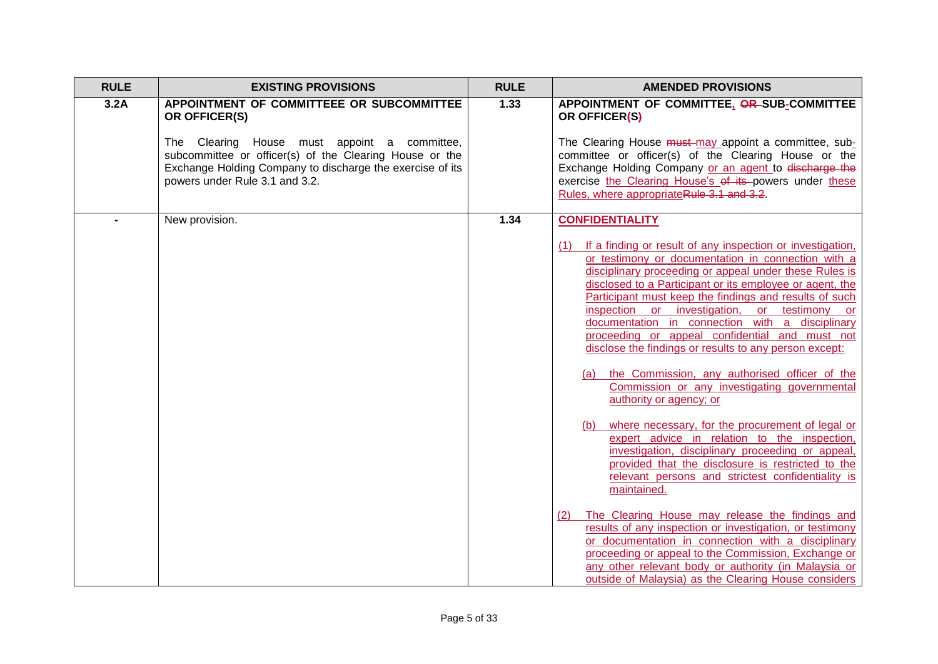| <b>RULE</b> | <b>EXISTING PROVISIONS</b>                                                                                                                                                                             | <b>RULE</b> | <b>AMENDED PROVISIONS</b>                                                                                                                                                                                                                                                                                                                                                                                                                                                                                                                                                                                                                           |
|-------------|--------------------------------------------------------------------------------------------------------------------------------------------------------------------------------------------------------|-------------|-----------------------------------------------------------------------------------------------------------------------------------------------------------------------------------------------------------------------------------------------------------------------------------------------------------------------------------------------------------------------------------------------------------------------------------------------------------------------------------------------------------------------------------------------------------------------------------------------------------------------------------------------------|
| 3.2A        | APPOINTMENT OF COMMITTEEE OR SUBCOMMITTEE<br>OR OFFICER(S)                                                                                                                                             | 1.33        | APPOINTMENT OF COMMITTEE, OR SUB-COMMITTEE<br>OR OFFICER(S)                                                                                                                                                                                                                                                                                                                                                                                                                                                                                                                                                                                         |
|             | The Clearing House must appoint a committee,<br>subcommittee or officer(s) of the Clearing House or the<br>Exchange Holding Company to discharge the exercise of its<br>powers under Rule 3.1 and 3.2. |             | The Clearing House must-may appoint a committee, sub-<br>committee or officer(s) of the Clearing House or the<br>Exchange Holding Company or an agent to discharge the<br>exercise the Clearing House's of its powers under these<br>Rules, where appropriateRule 3.1 and 3.2.                                                                                                                                                                                                                                                                                                                                                                      |
|             | New provision.                                                                                                                                                                                         | 1.34        | <b>CONFIDENTIALITY</b>                                                                                                                                                                                                                                                                                                                                                                                                                                                                                                                                                                                                                              |
|             |                                                                                                                                                                                                        |             | (1) If a finding or result of any inspection or investigation,<br>or testimony or documentation in connection with a<br>disciplinary proceeding or appeal under these Rules is<br>disclosed to a Participant or its employee or agent, the<br>Participant must keep the findings and results of such<br>inspection or investigation, or testimony or<br>documentation in connection with a disciplinary<br>proceeding or appeal confidential and must not<br>disclose the findings or results to any person except:<br>(a) the Commission, any authorised officer of the<br>Commission or any investigating governmental<br>authority or agency; or |
|             |                                                                                                                                                                                                        |             | where necessary, for the procurement of legal or<br>(b)<br>expert advice in relation to the inspection,<br>investigation, disciplinary proceeding or appeal,<br>provided that the disclosure is restricted to the<br>relevant persons and strictest confidentiality is<br>maintained.                                                                                                                                                                                                                                                                                                                                                               |
|             |                                                                                                                                                                                                        |             | The Clearing House may release the findings and<br>(2)<br>results of any inspection or investigation, or testimony<br>or documentation in connection with a disciplinary<br>proceeding or appeal to the Commission, Exchange or<br>any other relevant body or authority (in Malaysia or<br>outside of Malaysia) as the Clearing House considers                                                                                                                                                                                                                                                                                                     |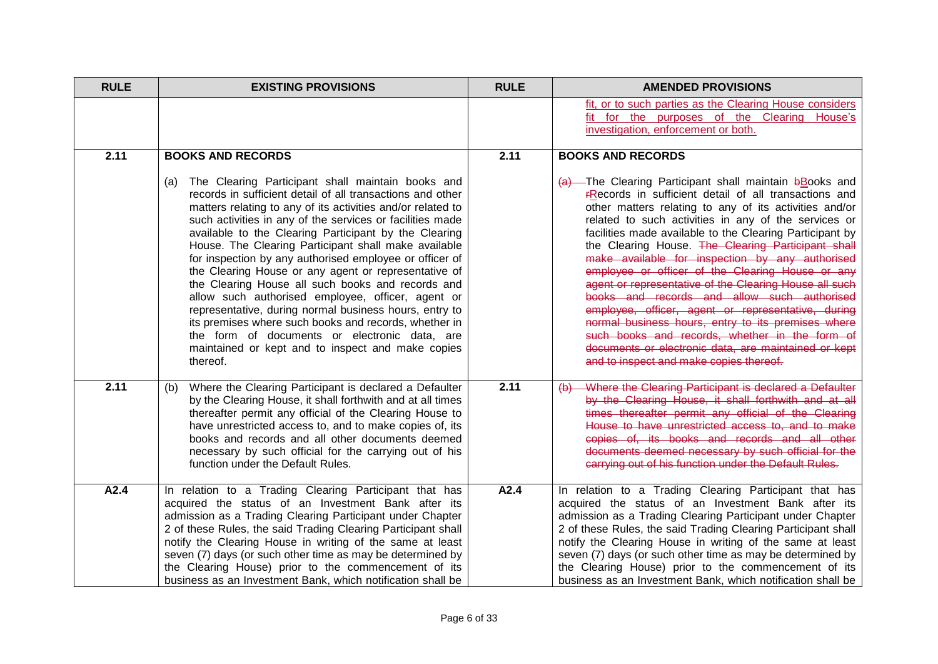| <b>RULE</b> | <b>EXISTING PROVISIONS</b>                                                                                                                                                                                                                                                                                                                                                                                                                                                                                                                                                                                                                                                                                                                                                                                                            | <b>RULE</b> | <b>AMENDED PROVISIONS</b>                                                                                                                                                                                                                                                                                                                                                                                                                                                                                                                                                                                                                                                                                                                                                                                                                     |
|-------------|---------------------------------------------------------------------------------------------------------------------------------------------------------------------------------------------------------------------------------------------------------------------------------------------------------------------------------------------------------------------------------------------------------------------------------------------------------------------------------------------------------------------------------------------------------------------------------------------------------------------------------------------------------------------------------------------------------------------------------------------------------------------------------------------------------------------------------------|-------------|-----------------------------------------------------------------------------------------------------------------------------------------------------------------------------------------------------------------------------------------------------------------------------------------------------------------------------------------------------------------------------------------------------------------------------------------------------------------------------------------------------------------------------------------------------------------------------------------------------------------------------------------------------------------------------------------------------------------------------------------------------------------------------------------------------------------------------------------------|
|             |                                                                                                                                                                                                                                                                                                                                                                                                                                                                                                                                                                                                                                                                                                                                                                                                                                       |             | fit, or to such parties as the Clearing House considers<br>fit for the purposes of the Clearing House's<br>investigation, enforcement or both.                                                                                                                                                                                                                                                                                                                                                                                                                                                                                                                                                                                                                                                                                                |
| 2.11        | <b>BOOKS AND RECORDS</b>                                                                                                                                                                                                                                                                                                                                                                                                                                                                                                                                                                                                                                                                                                                                                                                                              | 2.11        | <b>BOOKS AND RECORDS</b>                                                                                                                                                                                                                                                                                                                                                                                                                                                                                                                                                                                                                                                                                                                                                                                                                      |
|             | The Clearing Participant shall maintain books and<br>(a)<br>records in sufficient detail of all transactions and other<br>matters relating to any of its activities and/or related to<br>such activities in any of the services or facilities made<br>available to the Clearing Participant by the Clearing<br>House. The Clearing Participant shall make available<br>for inspection by any authorised employee or officer of<br>the Clearing House or any agent or representative of<br>the Clearing House all such books and records and<br>allow such authorised employee, officer, agent or<br>representative, during normal business hours, entry to<br>its premises where such books and records, whether in<br>the form of documents or electronic data, are<br>maintained or kept and to inspect and make copies<br>thereof. |             | $(a)$ The Clearing Participant shall maintain bBooks and<br><b>FRecords</b> in sufficient detail of all transactions and<br>other matters relating to any of its activities and/or<br>related to such activities in any of the services or<br>facilities made available to the Clearing Participant by<br>the Clearing House. The Clearing Participant shall<br>make available for inspection by any authorised<br>employee or officer of the Clearing House or any<br>agent or representative of the Clearing House all such<br>books and records and allow such authorised<br>employee, officer, agent or representative, during<br>normal business hours, entry to its premises where<br>such books and records, whether in the form of<br>documents or electronic data, are maintained or kept<br>and to inspect and make copies thereof. |
| 2.11        | Where the Clearing Participant is declared a Defaulter<br>(b)<br>by the Clearing House, it shall forthwith and at all times<br>thereafter permit any official of the Clearing House to<br>have unrestricted access to, and to make copies of, its<br>books and records and all other documents deemed<br>necessary by such official for the carrying out of his<br>function under the Default Rules.                                                                                                                                                                                                                                                                                                                                                                                                                                  | 2.11        | Where the Clearing Participant is declared a Defaulter<br>$\leftrightarrow$<br>by the Clearing House, it shall forthwith and at all<br>times thereafter permit any official of the Clearing<br>House to have unrestricted access to, and to make<br>copies of, its books and records and all other<br>documents deemed necessary by such official for the<br>carrying out of his function under the Default Rules.                                                                                                                                                                                                                                                                                                                                                                                                                            |
| A2.4        | In relation to a Trading Clearing Participant that has<br>acquired the status of an Investment Bank after its<br>admission as a Trading Clearing Participant under Chapter<br>2 of these Rules, the said Trading Clearing Participant shall<br>notify the Clearing House in writing of the same at least<br>seven (7) days (or such other time as may be determined by<br>the Clearing House) prior to the commencement of its<br>business as an Investment Bank, which notification shall be                                                                                                                                                                                                                                                                                                                                         | A2.4        | In relation to a Trading Clearing Participant that has<br>acquired the status of an Investment Bank after its<br>admission as a Trading Clearing Participant under Chapter<br>2 of these Rules, the said Trading Clearing Participant shall<br>notify the Clearing House in writing of the same at least<br>seven (7) days (or such other time as may be determined by<br>the Clearing House) prior to the commencement of its<br>business as an Investment Bank, which notification shall be                                                                                                                                                                                                                                                                                                                                                 |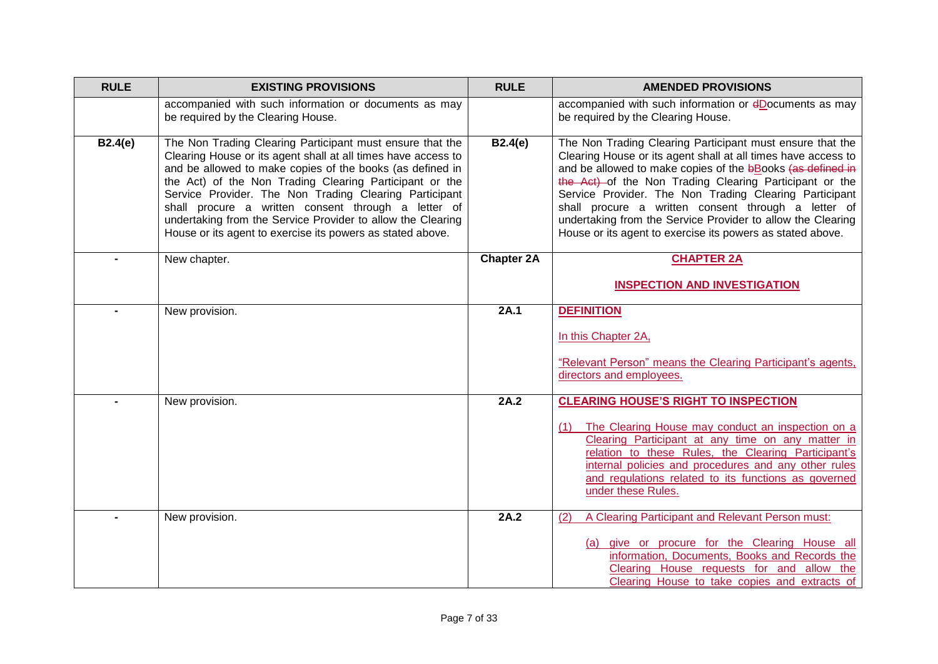| <b>RULE</b> | <b>EXISTING PROVISIONS</b>                                                                                                                                                                                                                                                                                                                                                                                                                                                                       | <b>RULE</b>       | <b>AMENDED PROVISIONS</b>                                                                                                                                                                                                                                                                                                                                                                                                                                                                         |
|-------------|--------------------------------------------------------------------------------------------------------------------------------------------------------------------------------------------------------------------------------------------------------------------------------------------------------------------------------------------------------------------------------------------------------------------------------------------------------------------------------------------------|-------------------|---------------------------------------------------------------------------------------------------------------------------------------------------------------------------------------------------------------------------------------------------------------------------------------------------------------------------------------------------------------------------------------------------------------------------------------------------------------------------------------------------|
|             | accompanied with such information or documents as may<br>be required by the Clearing House.                                                                                                                                                                                                                                                                                                                                                                                                      |                   | accompanied with such information or dDocuments as may<br>be required by the Clearing House.                                                                                                                                                                                                                                                                                                                                                                                                      |
| B2.4(e)     | The Non Trading Clearing Participant must ensure that the<br>Clearing House or its agent shall at all times have access to<br>and be allowed to make copies of the books (as defined in<br>the Act) of the Non Trading Clearing Participant or the<br>Service Provider. The Non Trading Clearing Participant<br>shall procure a written consent through a letter of<br>undertaking from the Service Provider to allow the Clearing<br>House or its agent to exercise its powers as stated above. | <b>B2.4(e)</b>    | The Non Trading Clearing Participant must ensure that the<br>Clearing House or its agent shall at all times have access to<br>and be allowed to make copies of the bBooks (as defined in<br>the Act) of the Non Trading Clearing Participant or the<br>Service Provider. The Non Trading Clearing Participant<br>shall procure a written consent through a letter of<br>undertaking from the Service Provider to allow the Clearing<br>House or its agent to exercise its powers as stated above. |
|             | New chapter.                                                                                                                                                                                                                                                                                                                                                                                                                                                                                     | <b>Chapter 2A</b> | <b>CHAPTER 2A</b>                                                                                                                                                                                                                                                                                                                                                                                                                                                                                 |
|             |                                                                                                                                                                                                                                                                                                                                                                                                                                                                                                  |                   | <b>INSPECTION AND INVESTIGATION</b>                                                                                                                                                                                                                                                                                                                                                                                                                                                               |
|             | New provision.                                                                                                                                                                                                                                                                                                                                                                                                                                                                                   | 2A.1              | <b>DEFINITION</b><br>In this Chapter 2A,                                                                                                                                                                                                                                                                                                                                                                                                                                                          |
|             |                                                                                                                                                                                                                                                                                                                                                                                                                                                                                                  |                   | "Relevant Person" means the Clearing Participant's agents,<br>directors and employees.                                                                                                                                                                                                                                                                                                                                                                                                            |
|             | New provision.                                                                                                                                                                                                                                                                                                                                                                                                                                                                                   | 2A.2              | <b>CLEARING HOUSE'S RIGHT TO INSPECTION</b>                                                                                                                                                                                                                                                                                                                                                                                                                                                       |
|             |                                                                                                                                                                                                                                                                                                                                                                                                                                                                                                  |                   | The Clearing House may conduct an inspection on a<br>(1)<br>Clearing Participant at any time on any matter in<br>relation to these Rules, the Clearing Participant's<br>internal policies and procedures and any other rules<br>and regulations related to its functions as governed<br>under these Rules.                                                                                                                                                                                        |
|             | New provision.                                                                                                                                                                                                                                                                                                                                                                                                                                                                                   | 2A.2              | A Clearing Participant and Relevant Person must:<br>(2)                                                                                                                                                                                                                                                                                                                                                                                                                                           |
|             |                                                                                                                                                                                                                                                                                                                                                                                                                                                                                                  |                   | (a) give or procure for the Clearing House all<br>information, Documents, Books and Records the<br>Clearing House requests for and allow the<br>Clearing House to take copies and extracts of                                                                                                                                                                                                                                                                                                     |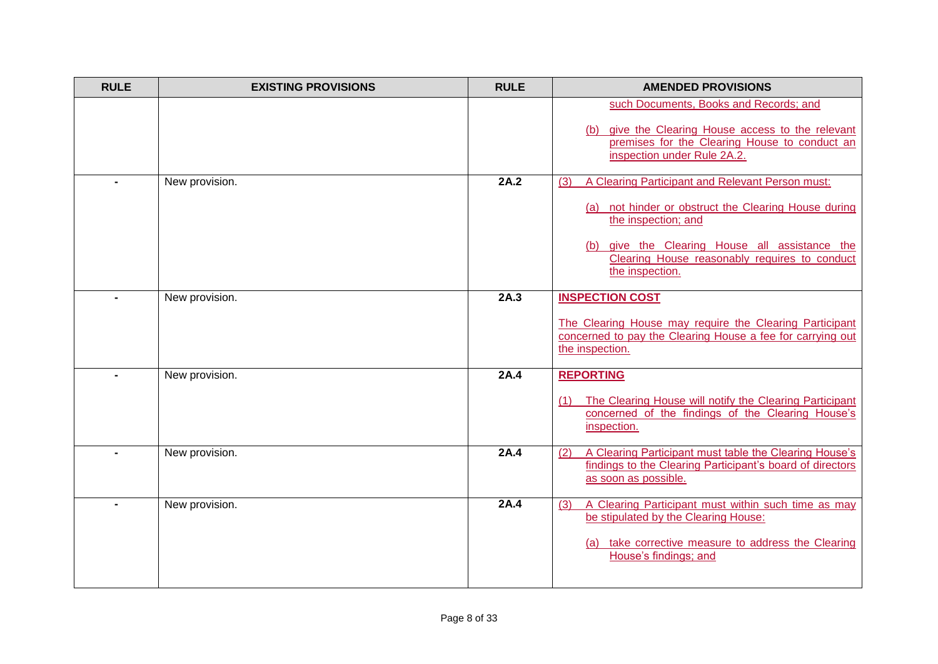| <b>RULE</b>    | <b>EXISTING PROVISIONS</b> | <b>RULE</b> | <b>AMENDED PROVISIONS</b>                                                                                                                                                                                                                                    |
|----------------|----------------------------|-------------|--------------------------------------------------------------------------------------------------------------------------------------------------------------------------------------------------------------------------------------------------------------|
|                |                            |             | such Documents, Books and Records; and<br>give the Clearing House access to the relevant<br>(b)<br>premises for the Clearing House to conduct an<br>inspection under Rule 2A.2.                                                                              |
|                | New provision.             | 2A.2        | A Clearing Participant and Relevant Person must:<br>(3)<br>(a) not hinder or obstruct the Clearing House during<br>the inspection; and<br>(b) give the Clearing House all assistance the<br>Clearing House reasonably requires to conduct<br>the inspection. |
|                | New provision.             | 2A.3        | <b>INSPECTION COST</b><br>The Clearing House may require the Clearing Participant<br>concerned to pay the Clearing House a fee for carrying out<br>the inspection.                                                                                           |
|                | New provision.             | 2A.4        | <b>REPORTING</b><br>The Clearing House will notify the Clearing Participant<br>(1)<br>concerned of the findings of the Clearing House's<br>inspection.                                                                                                       |
|                | New provision.             | 2A.4        | A Clearing Participant must table the Clearing House's<br>(2)<br>findings to the Clearing Participant's board of directors<br>as soon as possible.                                                                                                           |
| $\blacksquare$ | New provision.             | 2A.4        | A Clearing Participant must within such time as may<br>(3)<br>be stipulated by the Clearing House:<br>(a) take corrective measure to address the Clearing<br>House's findings; and                                                                           |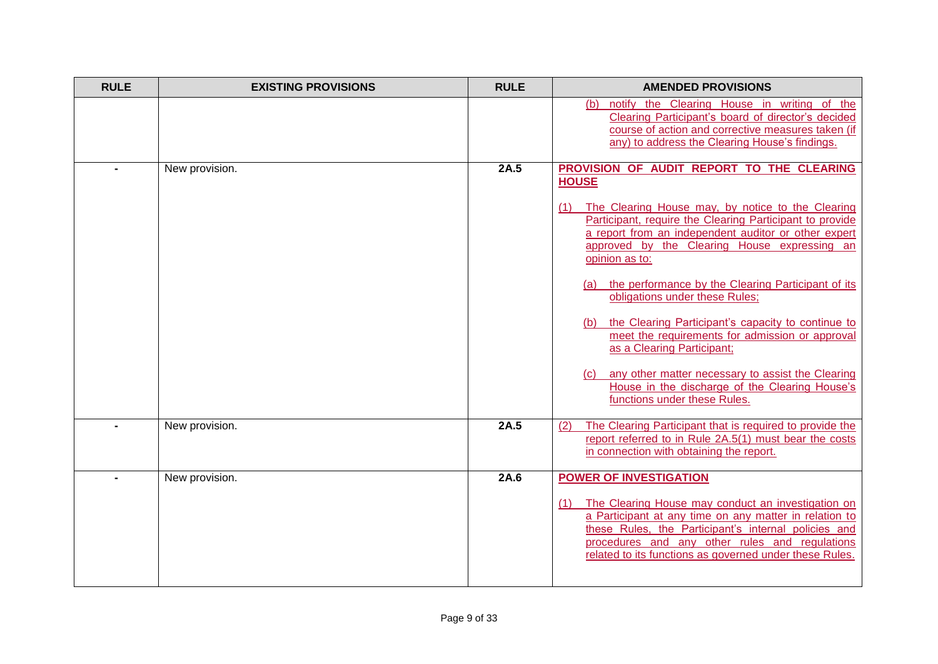| <b>RULE</b> | <b>EXISTING PROVISIONS</b> | <b>RULE</b> | <b>AMENDED PROVISIONS</b>                                                                                                                                                                                                                                                                                                 |
|-------------|----------------------------|-------------|---------------------------------------------------------------------------------------------------------------------------------------------------------------------------------------------------------------------------------------------------------------------------------------------------------------------------|
|             |                            |             | (b) notify the Clearing House in writing of the<br>Clearing Participant's board of director's decided<br>course of action and corrective measures taken (if<br>any) to address the Clearing House's findings.                                                                                                             |
|             | New provision.             | 2A.5        | PROVISION OF AUDIT REPORT TO THE CLEARING<br><b>HOUSE</b>                                                                                                                                                                                                                                                                 |
|             |                            |             | (1) The Clearing House may, by notice to the Clearing<br>Participant, require the Clearing Participant to provide<br>a report from an independent auditor or other expert<br>approved by the Clearing House expressing an<br>opinion as to:                                                                               |
|             |                            |             | (a) the performance by the Clearing Participant of its<br>obligations under these Rules;                                                                                                                                                                                                                                  |
|             |                            |             | (b) the Clearing Participant's capacity to continue to<br>meet the requirements for admission or approval<br>as a Clearing Participant;                                                                                                                                                                                   |
|             |                            |             | any other matter necessary to assist the Clearing<br>(C)<br>House in the discharge of the Clearing House's<br>functions under these Rules.                                                                                                                                                                                |
|             | New provision.             | 2A.5        | The Clearing Participant that is required to provide the<br>(2)<br>report referred to in Rule 2A.5(1) must bear the costs<br>in connection with obtaining the report.                                                                                                                                                     |
|             | New provision.             | 2A.6        | <b>POWER OF INVESTIGATION</b><br>The Clearing House may conduct an investigation on<br>(1)<br>a Participant at any time on any matter in relation to<br>these Rules, the Participant's internal policies and<br>procedures and any other rules and regulations<br>related to its functions as governed under these Rules. |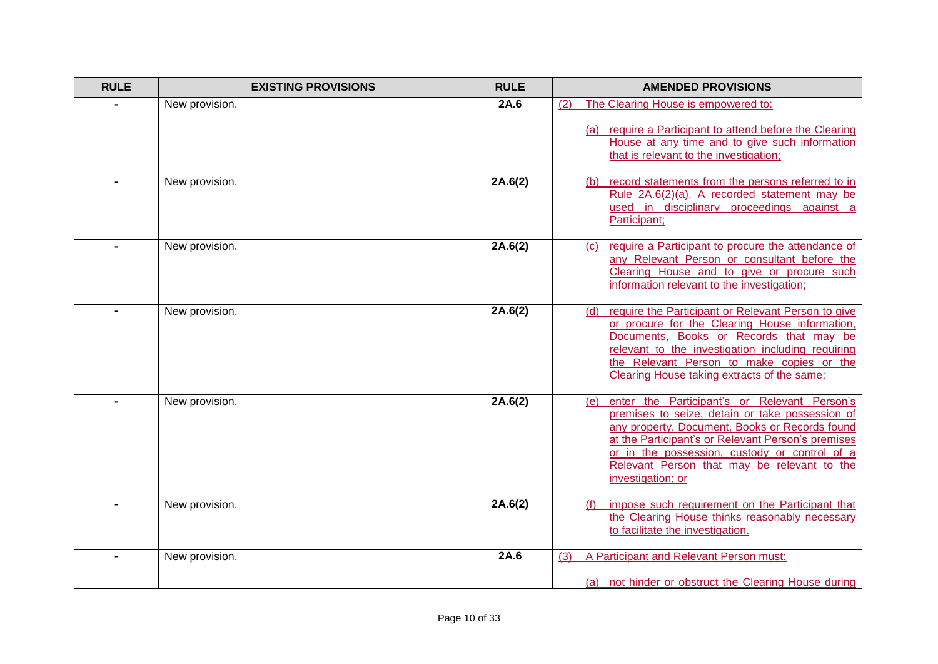| <b>RULE</b> | <b>EXISTING PROVISIONS</b> | <b>RULE</b> | <b>AMENDED PROVISIONS</b>                                                                                                                                                                                                                                                                                                           |
|-------------|----------------------------|-------------|-------------------------------------------------------------------------------------------------------------------------------------------------------------------------------------------------------------------------------------------------------------------------------------------------------------------------------------|
|             | New provision.             | 2A.6        | (2)<br>The Clearing House is empowered to:<br>(a) require a Participant to attend before the Clearing<br>House at any time and to give such information<br>that is relevant to the investigation;                                                                                                                                   |
|             | New provision.             | 2A.6(2)     | record statements from the persons referred to in<br>(b)<br>Rule 2A.6(2)(a). A recorded statement may be<br>used in disciplinary proceedings against a<br>Participant;                                                                                                                                                              |
|             | New provision.             | 2A.6(2)     | require a Participant to procure the attendance of<br>(C)<br>any Relevant Person or consultant before the<br>Clearing House and to give or procure such<br>information relevant to the investigation;                                                                                                                               |
|             | New provision.             | 2A.6(2)     | require the Participant or Relevant Person to give<br>(d)<br>or procure for the Clearing House information,<br>Documents, Books or Records that may be<br>relevant to the investigation including requiring<br>the Relevant Person to make copies or the<br>Clearing House taking extracts of the same;                             |
|             | New provision.             | 2A.6(2)     | enter the Participant's or Relevant Person's<br>(e)<br>premises to seize, detain or take possession of<br>any property, Document, Books or Records found<br>at the Participant's or Relevant Person's premises<br>or in the possession, custody or control of a<br>Relevant Person that may be relevant to the<br>investigation; or |
|             | New provision.             | 2A.6(2)     | impose such requirement on the Participant that<br>(f)<br>the Clearing House thinks reasonably necessary<br>to facilitate the investigation.                                                                                                                                                                                        |
|             | New provision.             | 2A.6        | A Participant and Relevant Person must:<br>(3)<br>(a) not hinder or obstruct the Clearing House during                                                                                                                                                                                                                              |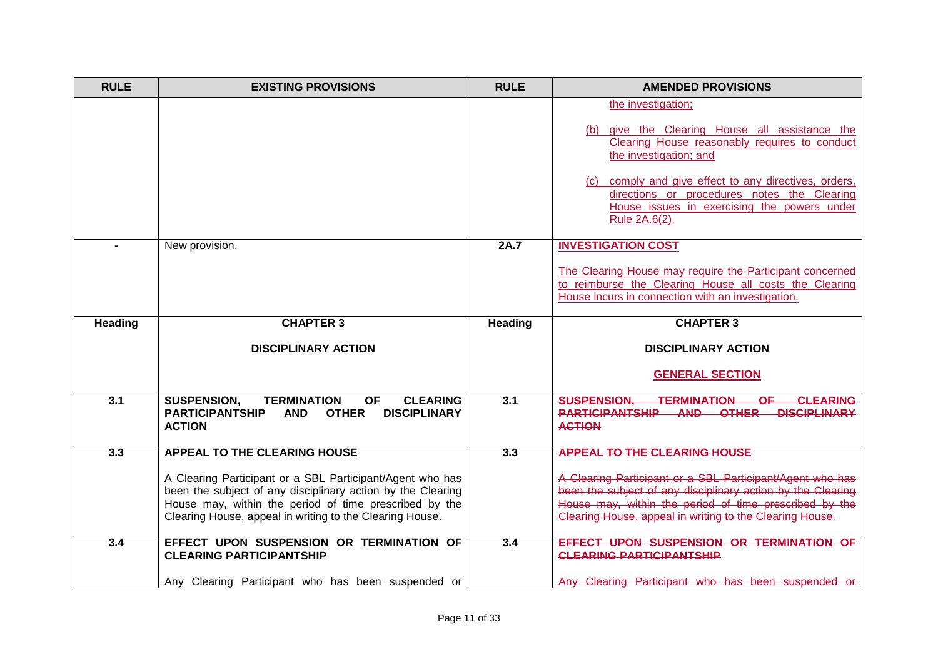| <b>RULE</b>      | <b>EXISTING PROVISIONS</b>                                                                                                                                                                                                                     | <b>RULE</b>      | <b>AMENDED PROVISIONS</b>                                                                                                                                                                                                                                                                                               |
|------------------|------------------------------------------------------------------------------------------------------------------------------------------------------------------------------------------------------------------------------------------------|------------------|-------------------------------------------------------------------------------------------------------------------------------------------------------------------------------------------------------------------------------------------------------------------------------------------------------------------------|
|                  |                                                                                                                                                                                                                                                |                  | the investigation;<br>(b) give the Clearing House all assistance the<br>Clearing House reasonably requires to conduct<br>the investigation; and<br>(c) comply and give effect to any directives, orders,<br>directions or procedures notes the Clearing<br>House issues in exercising the powers under<br>Rule 2A.6(2). |
|                  | New provision.                                                                                                                                                                                                                                 | 2A.7             | <b>INVESTIGATION COST</b><br>The Clearing House may require the Participant concerned<br>to reimburse the Clearing House all costs the Clearing<br>House incurs in connection with an investigation.                                                                                                                    |
| Heading          | <b>CHAPTER 3</b>                                                                                                                                                                                                                               | <b>Heading</b>   | <b>CHAPTER 3</b>                                                                                                                                                                                                                                                                                                        |
|                  | <b>DISCIPLINARY ACTION</b>                                                                                                                                                                                                                     |                  | <b>DISCIPLINARY ACTION</b>                                                                                                                                                                                                                                                                                              |
|                  |                                                                                                                                                                                                                                                |                  | <b>GENERAL SECTION</b>                                                                                                                                                                                                                                                                                                  |
| 3.1              | <b>SUSPENSION,</b><br><b>TERMINATION</b><br><b>OF</b><br><b>CLEARING</b><br><b>PARTICIPANTSHIP</b><br><b>OTHER</b><br><b>DISCIPLINARY</b><br><b>AND</b><br><b>ACTION</b>                                                                       | 3.1              | <b>SUSPENSION,</b><br><b>TERMINATION</b><br>$-OF$<br><b>CLEARING</b><br>PARTICIPANTSHIP AND OTHER DISCIPLINARY<br><b>ACTION</b>                                                                                                                                                                                         |
| $\overline{3.3}$ | <b>APPEAL TO THE CLEARING HOUSE</b>                                                                                                                                                                                                            | $\overline{3.3}$ | <b>APPEAL TO THE CLEARING HOUSE</b>                                                                                                                                                                                                                                                                                     |
|                  | A Clearing Participant or a SBL Participant/Agent who has<br>been the subject of any disciplinary action by the Clearing<br>House may, within the period of time prescribed by the<br>Clearing House, appeal in writing to the Clearing House. |                  | A Clearing Participant or a SBL Participant/Agent who has<br>been the subject of any disciplinary action by the Clearing<br>House may, within the period of time prescribed by the<br>Clearing House, appeal in writing to the Clearing House.                                                                          |
| 3.4              | EFFECT UPON SUSPENSION OR TERMINATION OF<br><b>CLEARING PARTICIPANTSHIP</b>                                                                                                                                                                    | 3.4              | EFFECT UPON SUSPENSION OR TERMINATION OF<br><b>CLEARING PARTICIPANTSHIP</b>                                                                                                                                                                                                                                             |
|                  | Any Clearing Participant who has been suspended or                                                                                                                                                                                             |                  | Any Clearing Participant who has been suspended or                                                                                                                                                                                                                                                                      |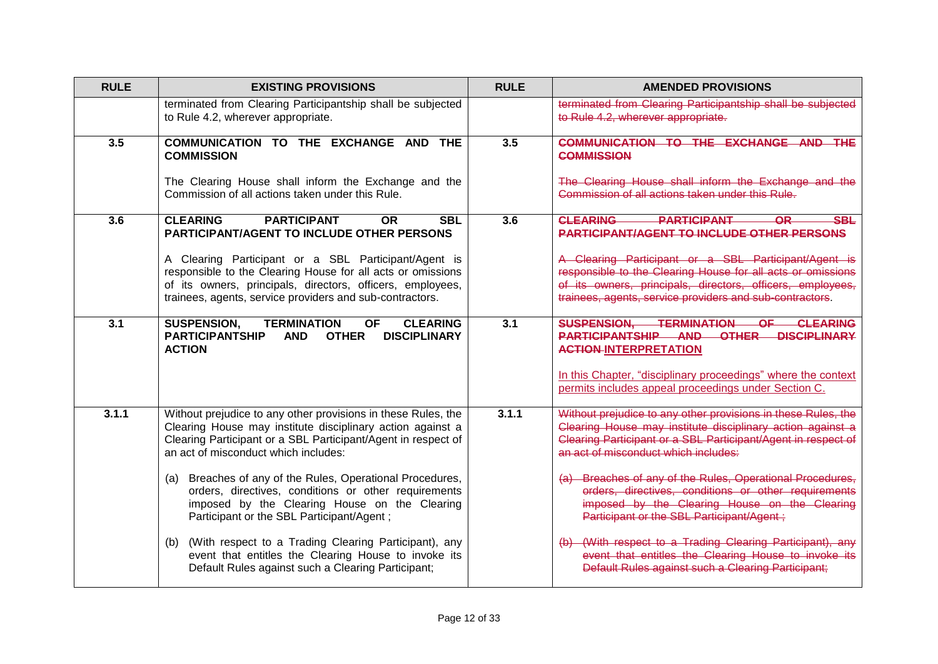| <b>RULE</b> | <b>EXISTING PROVISIONS</b>                                                                                                                                                                                                                    | <b>RULE</b> | <b>AMENDED PROVISIONS</b>                                                                                                                                                                                                                     |
|-------------|-----------------------------------------------------------------------------------------------------------------------------------------------------------------------------------------------------------------------------------------------|-------------|-----------------------------------------------------------------------------------------------------------------------------------------------------------------------------------------------------------------------------------------------|
|             | terminated from Clearing Participantship shall be subjected<br>to Rule 4.2, wherever appropriate.                                                                                                                                             |             | terminated from Clearing Participantship shall be subjected<br>to Rule 4.2, wherever appropriate.                                                                                                                                             |
| 3.5         | COMMUNICATION TO THE EXCHANGE AND<br><b>THE</b><br><b>COMMISSION</b><br>The Clearing House shall inform the Exchange and the                                                                                                                  | 3.5         | COMMUNICATION TO THE EXCHANGE AND THE<br><b>COMMISSION</b><br>The Clearing House shall inform the Exchange and the                                                                                                                            |
|             | Commission of all actions taken under this Rule.                                                                                                                                                                                              |             | Commission of all actions taken under this Rule.                                                                                                                                                                                              |
| 3.6         | <b>CLEARING</b><br><b>PARTICIPANT</b><br><b>SBL</b><br><b>OR</b><br><b>PARTICIPANT/AGENT TO INCLUDE OTHER PERSONS</b>                                                                                                                         | 3.6         | <b>CLEARING</b><br><b>PARTICIPANT</b><br><b>SBL</b><br>-OR-<br><b>PARTICIPANT/AGENT TO INCLUDE OTHER PERSONS</b>                                                                                                                              |
|             | A Clearing Participant or a SBL Participant/Agent is<br>responsible to the Clearing House for all acts or omissions<br>of its owners, principals, directors, officers, employees,<br>trainees, agents, service providers and sub-contractors. |             | A Clearing Participant or a SBL Participant/Agent is<br>responsible to the Clearing House for all acts or omissions<br>of its owners, principals, directors, officers, employees,<br>trainees, agents, service providers and sub-contractors. |
| 3.1         | <b>SUSPENSION,</b><br><b>TERMINATION</b><br><b>CLEARING</b><br><b>OF</b><br><b>PARTICIPANTSHIP</b><br><b>OTHER</b><br><b>DISCIPLINARY</b><br><b>AND</b><br><b>ACTION</b>                                                                      | 3.1         | <b>SUSPENSION.</b><br><b>TERMINATION</b><br><b>CLEARING</b><br>OF.<br><b>OTHER</b><br><b>PARTICIPANTSHIP AND</b><br><b>DISCIPLINARY</b><br><b>ACTION-INTERPRETATION</b>                                                                       |
|             |                                                                                                                                                                                                                                               |             | In this Chapter, "disciplinary proceedings" where the context<br>permits includes appeal proceedings under Section C.                                                                                                                         |
| 3.1.1       | Without prejudice to any other provisions in these Rules, the<br>Clearing House may institute disciplinary action against a<br>Clearing Participant or a SBL Participant/Agent in respect of<br>an act of misconduct which includes:          | 3.1.1       | Without prejudice to any other provisions in these Rules, the<br>Clearing House may institute disciplinary action against a<br>Clearing Participant or a SBL Participant/Agent in respect of<br>an act of misconduct which includes:          |
|             | Breaches of any of the Rules, Operational Procedures,<br>(a)<br>orders, directives, conditions or other requirements<br>imposed by the Clearing House on the Clearing<br>Participant or the SBL Participant/Agent;                            |             | (a) Breaches of any of the Rules, Operational Procedures,<br>orders, directives, conditions or other requirements<br>imposed by the Clearing House on the Clearing<br>Participant or the SBL Participant/Agent ;                              |
|             | (b) (With respect to a Trading Clearing Participant), any<br>event that entitles the Clearing House to invoke its<br>Default Rules against such a Clearing Participant;                                                                       |             | (With respect to a Trading Clearing Participant), any<br>event that entitles the Clearing House to invoke its<br>Default Rules against such a Clearing Participant;                                                                           |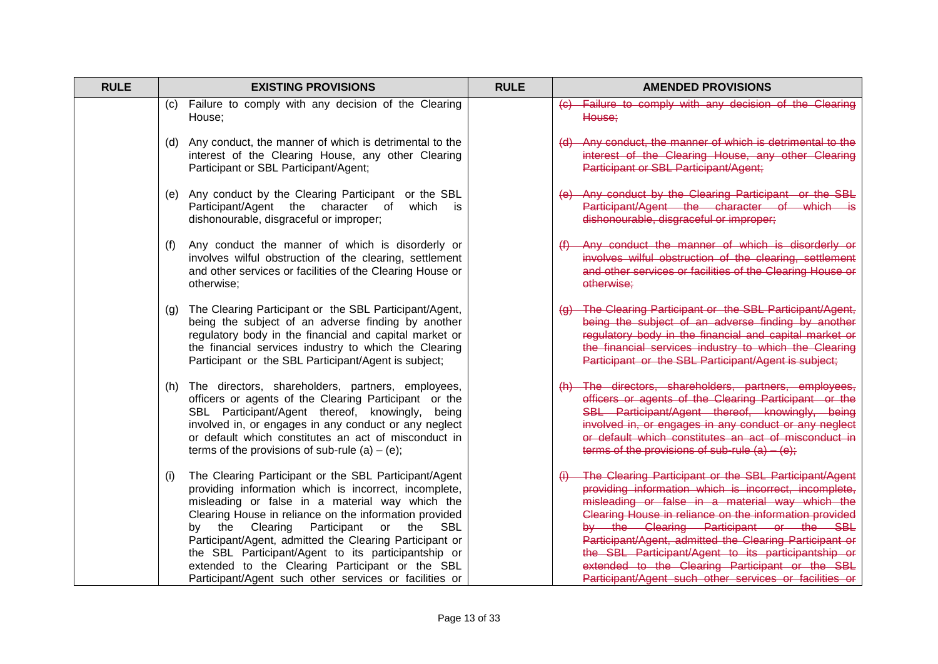| <b>RULE</b> | <b>EXISTING PROVISIONS</b>                                                                                                                                                                                                                                                                                                                                                                                                                                                                                        | <b>RULE</b> | <b>AMENDED PROVISIONS</b>                                                                                                                                                                                                                                                                                                                                                                                                                                                                            |
|-------------|-------------------------------------------------------------------------------------------------------------------------------------------------------------------------------------------------------------------------------------------------------------------------------------------------------------------------------------------------------------------------------------------------------------------------------------------------------------------------------------------------------------------|-------------|------------------------------------------------------------------------------------------------------------------------------------------------------------------------------------------------------------------------------------------------------------------------------------------------------------------------------------------------------------------------------------------------------------------------------------------------------------------------------------------------------|
|             | Failure to comply with any decision of the Clearing<br>(C).<br>House;                                                                                                                                                                                                                                                                                                                                                                                                                                             |             | Failure to comply with any decision of the Clearing<br>House;                                                                                                                                                                                                                                                                                                                                                                                                                                        |
|             | (d) Any conduct, the manner of which is detrimental to the<br>interest of the Clearing House, any other Clearing<br>Participant or SBL Participant/Agent;                                                                                                                                                                                                                                                                                                                                                         |             | (d) Any conduct, the manner of which is detrimental to the<br>interest of the Clearing House, any other Clearing<br>Participant or SBL Participant/Agent;                                                                                                                                                                                                                                                                                                                                            |
|             | (e) Any conduct by the Clearing Participant or the SBL<br>Participant/Agent the character of<br>which is<br>dishonourable, disgraceful or improper;                                                                                                                                                                                                                                                                                                                                                               |             | Any conduct by the Clearing Participant or the SBL<br>Participant/Agent the character of which is<br>dishonourable, disgraceful or improper;                                                                                                                                                                                                                                                                                                                                                         |
|             | Any conduct the manner of which is disorderly or<br>(f)<br>involves wilful obstruction of the clearing, settlement<br>and other services or facilities of the Clearing House or<br>otherwise:                                                                                                                                                                                                                                                                                                                     |             | Any conduct the manner of which is disorderly or<br>involves wilful obstruction of the clearing, settlement<br>and other services or facilities of the Clearing House or<br>otherwise;                                                                                                                                                                                                                                                                                                               |
|             | The Clearing Participant or the SBL Participant/Agent,<br>(g)<br>being the subject of an adverse finding by another<br>regulatory body in the financial and capital market or<br>the financial services industry to which the Clearing<br>Participant or the SBL Participant/Agent is subject;                                                                                                                                                                                                                    |             | (g) The Clearing Participant or the SBL Participant/Agent,<br>being the subject of an adverse finding by another<br>regulatory body in the financial and capital market or<br>the financial services industry to which the Clearing<br>Participant or the SBL Participant/Agent is subject;                                                                                                                                                                                                          |
|             | The directors, shareholders, partners, employees,<br>(h)<br>officers or agents of the Clearing Participant or the<br>SBL Participant/Agent thereof, knowingly, being<br>involved in, or engages in any conduct or any neglect<br>or default which constitutes an act of misconduct in<br>terms of the provisions of sub-rule (a) $-$ (e);                                                                                                                                                                         |             | (h) The directors, shareholders, partners, employees,<br>officers or agents of the Clearing Participant or the<br>SBL Participant/Agent thereof, knowingly, being<br>involved in, or engages in any conduct or any neglect<br>or default which constitutes an act of misconduct in<br>terms of the provisions of sub-rule $(a) - (e)$ ;                                                                                                                                                              |
|             | The Clearing Participant or the SBL Participant/Agent<br>(i)<br>providing information which is incorrect, incomplete,<br>misleading or false in a material way which the<br>Clearing House in reliance on the information provided<br>Participant or the<br>by the Clearing<br>SBL<br>Participant/Agent, admitted the Clearing Participant or<br>the SBL Participant/Agent to its participantship or<br>extended to the Clearing Participant or the SBL<br>Participant/Agent such other services or facilities or |             | The Clearing Participant or the SBL Participant/Agent<br>providing information which is incorrect, incomplete,<br>misleading or false in a material way which the<br>Clearing House in reliance on the information provided<br>by the Clearing Participant or the SBL<br>Participant/Agent, admitted the Clearing Participant or<br>the SBL Participant/Agent to its participantship or<br>extended to the Clearing Participant or the SBL<br>Participant/Agent such other services or facilities or |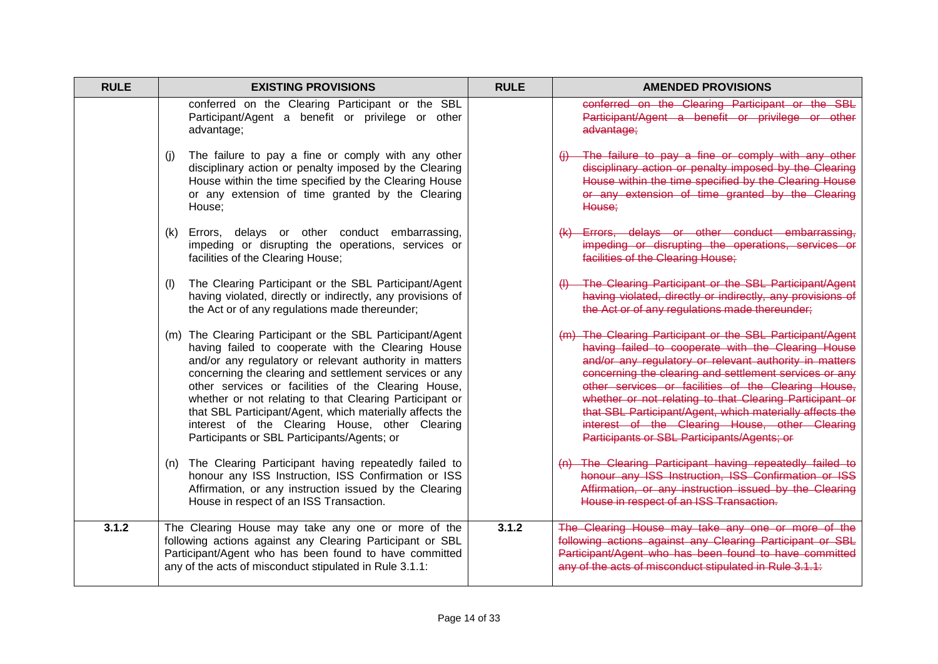| <b>RULE</b> | <b>EXISTING PROVISIONS</b>                                                                                                                                                                                                                                                                                                                                                                                                                                                                                         | <b>RULE</b> | <b>AMENDED PROVISIONS</b>                                                                                                                                                                                                                                                                                                                                                                                                                                                                                          |
|-------------|--------------------------------------------------------------------------------------------------------------------------------------------------------------------------------------------------------------------------------------------------------------------------------------------------------------------------------------------------------------------------------------------------------------------------------------------------------------------------------------------------------------------|-------------|--------------------------------------------------------------------------------------------------------------------------------------------------------------------------------------------------------------------------------------------------------------------------------------------------------------------------------------------------------------------------------------------------------------------------------------------------------------------------------------------------------------------|
|             | conferred on the Clearing Participant or the SBL<br>Participant/Agent a benefit or privilege or other<br>advantage;                                                                                                                                                                                                                                                                                                                                                                                                |             | conferred on the Clearing Participant or the SBL<br>Participant/Agent a benefit or privilege or other<br>advantage;                                                                                                                                                                                                                                                                                                                                                                                                |
|             | The failure to pay a fine or comply with any other<br>(i)<br>disciplinary action or penalty imposed by the Clearing<br>House within the time specified by the Clearing House<br>or any extension of time granted by the Clearing<br>House:                                                                                                                                                                                                                                                                         |             | The failure to pay a fine or comply with any other<br>disciplinary action or penalty imposed by the Clearing<br>House within the time specified by the Clearing House<br>or any extension of time granted by the Clearing<br>House:                                                                                                                                                                                                                                                                                |
|             | Errors, delays or other conduct embarrassing,<br>(k)<br>impeding or disrupting the operations, services or<br>facilities of the Clearing House;                                                                                                                                                                                                                                                                                                                                                                    |             | Errors, delays or other conduct embarrassing,<br>impeding or disrupting the operations, services or<br>facilities of the Clearing House;                                                                                                                                                                                                                                                                                                                                                                           |
|             | The Clearing Participant or the SBL Participant/Agent<br>(1)<br>having violated, directly or indirectly, any provisions of<br>the Act or of any regulations made thereunder;                                                                                                                                                                                                                                                                                                                                       |             | - The Clearing Participant or the SBL Participant/Agent<br>having violated, directly or indirectly, any provisions of<br>the Act or of any regulations made thereunder;                                                                                                                                                                                                                                                                                                                                            |
|             | (m) The Clearing Participant or the SBL Participant/Agent<br>having failed to cooperate with the Clearing House<br>and/or any regulatory or relevant authority in matters<br>concerning the clearing and settlement services or any<br>other services or facilities of the Clearing House,<br>whether or not relating to that Clearing Participant or<br>that SBL Participant/Agent, which materially affects the<br>interest of the Clearing House, other Clearing<br>Participants or SBL Participants/Agents; or |             | (m) The Clearing Participant or the SBL Participant/Agent<br>having failed to cooperate with the Clearing House<br>and/or any regulatory or relevant authority in matters<br>concerning the clearing and settlement services or any<br>other services or facilities of the Clearing House,<br>whether or not relating to that Clearing Participant or<br>that SBL Participant/Agent, which materially affects the<br>interest of the Clearing House, other Clearing<br>Participants or SBL Participants/Agents; or |
|             | The Clearing Participant having repeatedly failed to<br>(n)<br>honour any ISS Instruction, ISS Confirmation or ISS<br>Affirmation, or any instruction issued by the Clearing<br>House in respect of an ISS Transaction.                                                                                                                                                                                                                                                                                            |             | (n) The Clearing Participant having repeatedly failed to<br>honour any ISS Instruction, ISS Confirmation or ISS<br>Affirmation, or any instruction issued by the Clearing<br>House in respect of an ISS Transaction.                                                                                                                                                                                                                                                                                               |
| 3.1.2       | The Clearing House may take any one or more of the<br>following actions against any Clearing Participant or SBL<br>Participant/Agent who has been found to have committed<br>any of the acts of misconduct stipulated in Rule 3.1.1:                                                                                                                                                                                                                                                                               | 3.1.2       | The Clearing House may take any one or more of the<br>following actions against any Clearing Participant or SBL<br>Participant/Agent who has been found to have committed<br>any of the acts of misconduct stipulated in Rule 3.1.1:                                                                                                                                                                                                                                                                               |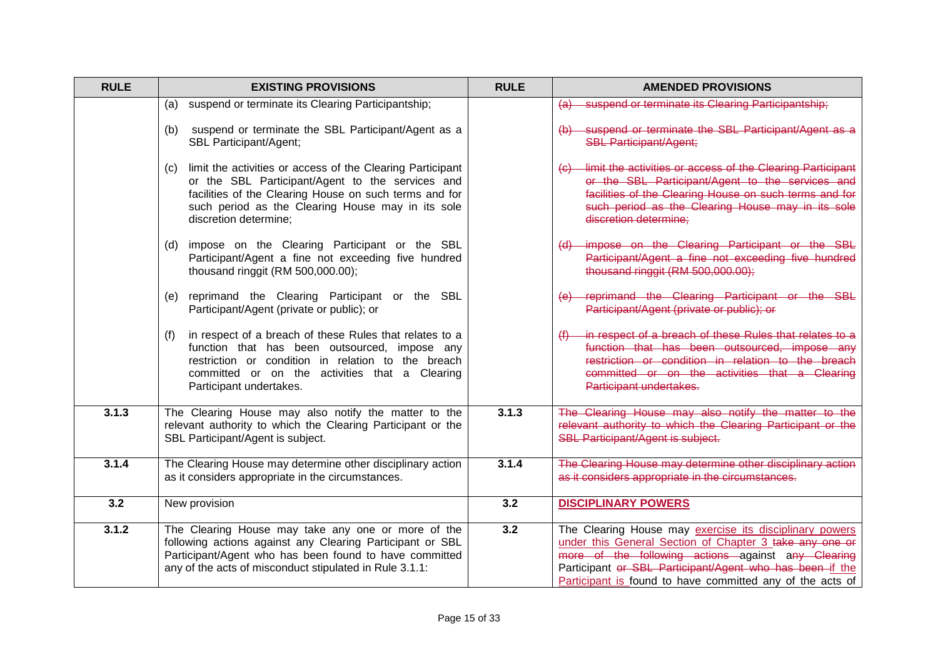| <b>RULE</b> | <b>EXISTING PROVISIONS</b>                                                                                                                                                                                                                                    | <b>RULE</b> | <b>AMENDED PROVISIONS</b>                                                                                                                                                                                                                                                                         |
|-------------|---------------------------------------------------------------------------------------------------------------------------------------------------------------------------------------------------------------------------------------------------------------|-------------|---------------------------------------------------------------------------------------------------------------------------------------------------------------------------------------------------------------------------------------------------------------------------------------------------|
|             | suspend or terminate its Clearing Participantship;<br>(a)                                                                                                                                                                                                     |             | suspend or terminate its Clearing Participantship;                                                                                                                                                                                                                                                |
|             | suspend or terminate the SBL Participant/Agent as a<br>(b)<br>SBL Participant/Agent;                                                                                                                                                                          |             | suspend or terminate the SBL Participant/Agent as a<br><b>SBL Participant/Agent;</b>                                                                                                                                                                                                              |
|             | limit the activities or access of the Clearing Participant<br>(C)<br>or the SBL Participant/Agent to the services and<br>facilities of the Clearing House on such terms and for<br>such period as the Clearing House may in its sole<br>discretion determine; |             | (c) limit the activities or access of the Clearing Participant<br>or the SBL Participant/Agent to the services and<br>facilities of the Clearing House on such terms and for<br>such period as the Clearing House may in its sole<br>discretion determine:                                        |
|             | impose on the Clearing Participant or the SBL<br>(d)<br>Participant/Agent a fine not exceeding five hundred<br>thousand ringgit (RM 500,000.00);                                                                                                              |             | impose on the Clearing Participant or the SBL<br>Participant/Agent a fine not exceeding five hundred<br>thousand ringgit (RM 500,000.00);                                                                                                                                                         |
|             | reprimand the Clearing Participant or the SBL<br>(e)<br>Participant/Agent (private or public); or                                                                                                                                                             |             | reprimand the Clearing Participant or the SBL<br>Participant/Agent (private or public); or                                                                                                                                                                                                        |
|             | in respect of a breach of these Rules that relates to a<br>(f)<br>function that has been outsourced, impose any<br>restriction or condition in relation to the breach<br>committed or on the activities that a Clearing<br>Participant undertakes.            |             | in respect of a breach of these Rules that relates to a<br>function that has been outsourced, impose any<br>restriction or condition in relation to the breach<br>committed or on the activities that a Clearing<br>Participant undertakes.                                                       |
| 3.1.3       | The Clearing House may also notify the matter to the<br>relevant authority to which the Clearing Participant or the<br>SBL Participant/Agent is subject.                                                                                                      | 3.1.3       | The Clearing House may also notify the matter to the<br>relevant authority to which the Clearing Participant or the<br><b>SBL Participant/Agent is subject.</b>                                                                                                                                   |
| 3.1.4       | The Clearing House may determine other disciplinary action<br>as it considers appropriate in the circumstances.                                                                                                                                               | 3.1.4       | The Clearing House may determine other disciplinary action<br>as it considers appropriate in the circumstances.                                                                                                                                                                                   |
| 3.2         | New provision                                                                                                                                                                                                                                                 | 3.2         | <b>DISCIPLINARY POWERS</b>                                                                                                                                                                                                                                                                        |
| 3.1.2       | The Clearing House may take any one or more of the<br>following actions against any Clearing Participant or SBL<br>Participant/Agent who has been found to have committed<br>any of the acts of misconduct stipulated in Rule 3.1.1:                          | 3.2         | The Clearing House may exercise its disciplinary powers<br>under this General Section of Chapter 3 take any one or<br>more of the following actions against any Clearing<br>Participant or SBL Participant/Agent who has been if the<br>Participant is found to have committed any of the acts of |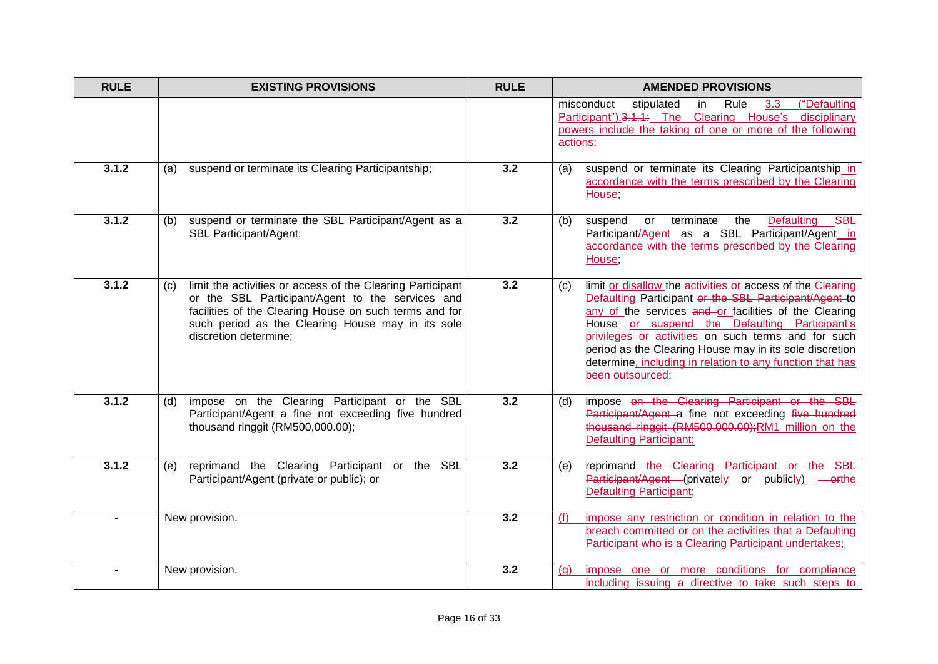| <b>RULE</b> | <b>EXISTING PROVISIONS</b>                                                                                                                                                                                                                                    | <b>RULE</b> | <b>AMENDED PROVISIONS</b>                                                                                                                                                                                                                                                                                                                                                                                                                |
|-------------|---------------------------------------------------------------------------------------------------------------------------------------------------------------------------------------------------------------------------------------------------------------|-------------|------------------------------------------------------------------------------------------------------------------------------------------------------------------------------------------------------------------------------------------------------------------------------------------------------------------------------------------------------------------------------------------------------------------------------------------|
|             |                                                                                                                                                                                                                                                               |             | ("Defaulting<br>misconduct<br>Rule<br>stipulated<br>in<br>3.3<br>Participant").3.1.1: The Clearing House's disciplinary<br>powers include the taking of one or more of the following<br>actions:                                                                                                                                                                                                                                         |
| 3.1.2       | suspend or terminate its Clearing Participantship;<br>(a)                                                                                                                                                                                                     | 3.2         | suspend or terminate its Clearing Participantship in<br>(a)<br>accordance with the terms prescribed by the Clearing<br>House;                                                                                                                                                                                                                                                                                                            |
| 3.1.2       | suspend or terminate the SBL Participant/Agent as a<br>(b)<br>SBL Participant/Agent;                                                                                                                                                                          | 3.2         | the<br>Defaulting<br>SBL<br>(b)<br>or terminate<br>suspend<br>Participant/Agent as a SBL Participant/Agent in<br>accordance with the terms prescribed by the Clearing<br>House,                                                                                                                                                                                                                                                          |
| 3.1.2       | limit the activities or access of the Clearing Participant<br>(C)<br>or the SBL Participant/Agent to the services and<br>facilities of the Clearing House on such terms and for<br>such period as the Clearing House may in its sole<br>discretion determine; | 3.2         | limit or disallow the activities or access of the Clearing<br>(c)<br>Defaulting Participant or the SBL Participant/Agent to<br>any of the services and or facilities of the Clearing<br>House or suspend the Defaulting Participant's<br>privileges or activities on such terms and for such<br>period as the Clearing House may in its sole discretion<br>determine, including in relation to any function that has<br>been outsourced; |
| 3.1.2       | impose on the Clearing Participant or the SBL<br>(d)<br>Participant/Agent a fine not exceeding five hundred<br>thousand ringgit (RM500,000.00);                                                                                                               | 3.2         | impose on the Clearing Participant or the SBL<br>(d)<br>Participant/Agent a fine not exceeding five hundred<br>thousand ringgit (RM500,000.00); RM1 million on the<br><b>Defaulting Participant;</b>                                                                                                                                                                                                                                     |
| 3.1.2       | reprimand the Clearing Participant or the SBL<br>(e)<br>Participant/Agent (private or public); or                                                                                                                                                             | 3.2         | reprimand the Clearing Participant or the SBL<br>(e)<br>Participant/Agent (privately or publicly) - orthe<br><b>Defaulting Participant</b> ;                                                                                                                                                                                                                                                                                             |
|             | New provision.                                                                                                                                                                                                                                                | 3.2         | impose any restriction or condition in relation to the<br>(f)<br>breach committed or on the activities that a Defaulting<br>Participant who is a Clearing Participant undertakes;                                                                                                                                                                                                                                                        |
|             | New provision.                                                                                                                                                                                                                                                | 3.2         | impose one or more conditions for compliance<br>(q)<br>including issuing a directive to take such steps to                                                                                                                                                                                                                                                                                                                               |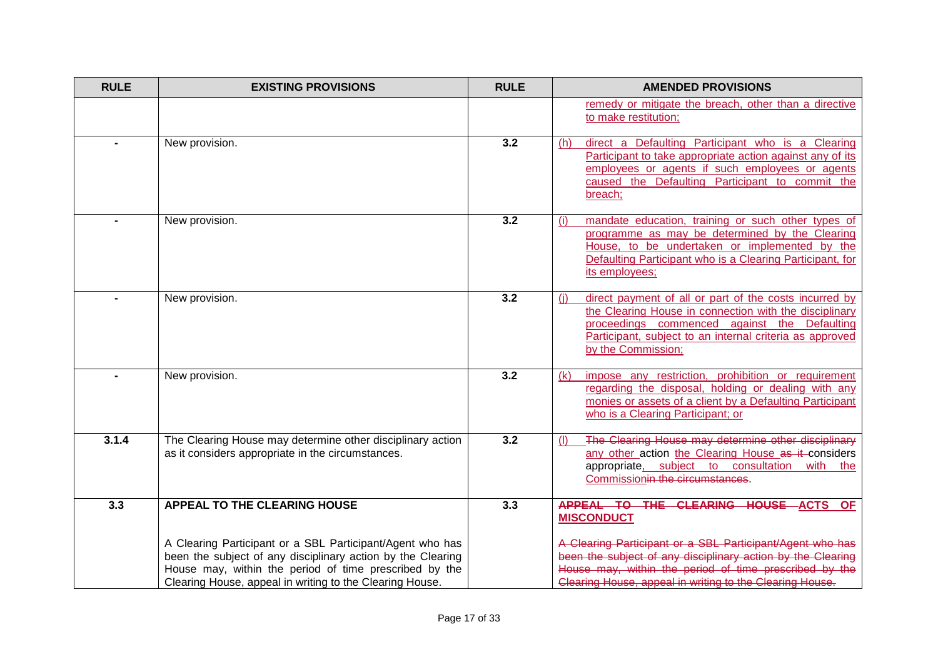| <b>RULE</b> | <b>EXISTING PROVISIONS</b>                                                                                                                                                                                                                     | <b>RULE</b> | <b>AMENDED PROVISIONS</b>                                                                                                                                                                                                                                 |
|-------------|------------------------------------------------------------------------------------------------------------------------------------------------------------------------------------------------------------------------------------------------|-------------|-----------------------------------------------------------------------------------------------------------------------------------------------------------------------------------------------------------------------------------------------------------|
|             |                                                                                                                                                                                                                                                |             | remedy or mitigate the breach, other than a directive<br>to make restitution;                                                                                                                                                                             |
|             | New provision.                                                                                                                                                                                                                                 | 3.2         | direct a Defaulting Participant who is a Clearing<br>(h)<br>Participant to take appropriate action against any of its<br>employees or agents if such employees or agents<br>caused the Defaulting Participant to commit the<br>breach;                    |
|             | New provision.                                                                                                                                                                                                                                 | 3.2         | mandate education, training or such other types of<br>(i)<br>programme as may be determined by the Clearing<br>House, to be undertaken or implemented by the<br>Defaulting Participant who is a Clearing Participant, for<br>its employees;               |
|             | New provision.                                                                                                                                                                                                                                 | 3.2         | direct payment of all or part of the costs incurred by<br>(i)<br>the Clearing House in connection with the disciplinary<br>proceedings commenced against the Defaulting<br>Participant, subject to an internal criteria as approved<br>by the Commission; |
|             | New provision.                                                                                                                                                                                                                                 | 3.2         | impose any restriction, prohibition or requirement<br>(k)<br>regarding the disposal, holding or dealing with any<br>monies or assets of a client by a Defaulting Participant<br>who is a Clearing Participant; or                                         |
| 3.1.4       | The Clearing House may determine other disciplinary action<br>as it considers appropriate in the circumstances.                                                                                                                                | 3.2         | The Clearing House may determine other disciplinary<br>(1)<br>any other action the Clearing House as it considers<br>appropriate, subject to consultation with the<br>Commissionin the circumstances.                                                     |
| 3.3         | <b>APPEAL TO THE CLEARING HOUSE</b>                                                                                                                                                                                                            | 3.3         | APPEAL TO THE CLEARING HOUSE ACTS OF<br><b>MISCONDUCT</b>                                                                                                                                                                                                 |
|             | A Clearing Participant or a SBL Participant/Agent who has<br>been the subject of any disciplinary action by the Clearing<br>House may, within the period of time prescribed by the<br>Clearing House, appeal in writing to the Clearing House. |             | A Clearing Participant or a SBL Participant/Agent who has<br>been the subject of any disciplinary action by the Clearing<br>House may, within the period of time prescribed by the<br>Clearing House, appeal in writing to the Clearing House.            |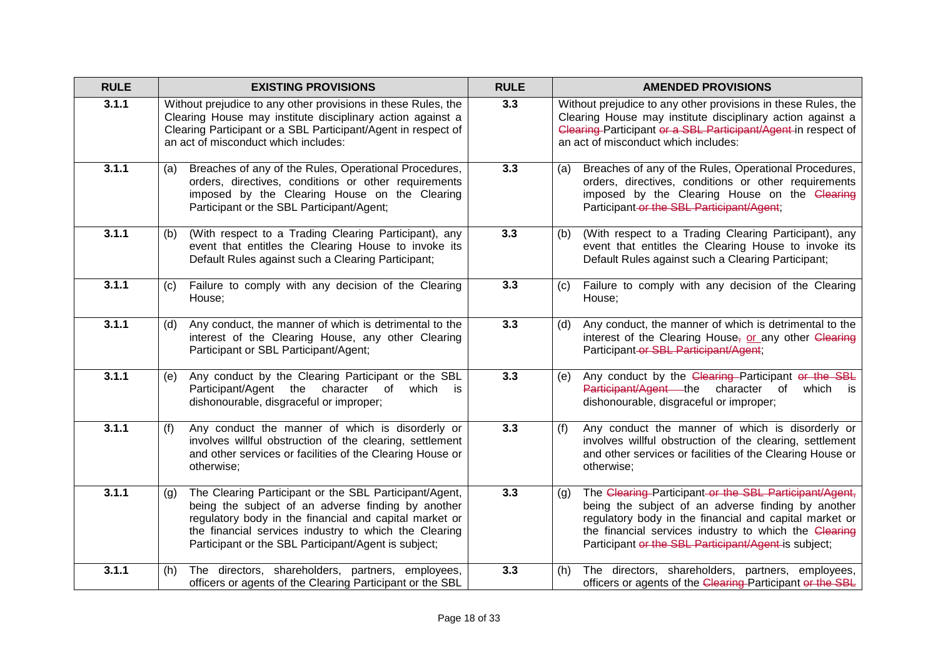| <b>RULE</b> | <b>EXISTING PROVISIONS</b>                                                                                                                                                                                                                                                                     | <b>RULE</b> | <b>AMENDED PROVISIONS</b>                                                                                                                                                                                                                                                                      |
|-------------|------------------------------------------------------------------------------------------------------------------------------------------------------------------------------------------------------------------------------------------------------------------------------------------------|-------------|------------------------------------------------------------------------------------------------------------------------------------------------------------------------------------------------------------------------------------------------------------------------------------------------|
| 3.1.1       | Without prejudice to any other provisions in these Rules, the<br>Clearing House may institute disciplinary action against a<br>Clearing Participant or a SBL Participant/Agent in respect of<br>an act of misconduct which includes:                                                           | 3.3         | Without prejudice to any other provisions in these Rules, the<br>Clearing House may institute disciplinary action against a<br>Clearing-Participant or a SBL Participant/Agent-in respect of<br>an act of misconduct which includes:                                                           |
| 3.1.1       | Breaches of any of the Rules, Operational Procedures,<br>(a)<br>orders, directives, conditions or other requirements<br>imposed by the Clearing House on the Clearing<br>Participant or the SBL Participant/Agent;                                                                             | 3.3         | Breaches of any of the Rules, Operational Procedures,<br>(a)<br>orders, directives, conditions or other requirements<br>imposed by the Clearing House on the Clearing<br>Participant-or the SBL Participant/Agent;                                                                             |
| 3.1.1       | (With respect to a Trading Clearing Participant), any<br>(b)<br>event that entitles the Clearing House to invoke its<br>Default Rules against such a Clearing Participant;                                                                                                                     | 3.3         | (With respect to a Trading Clearing Participant), any<br>(b)<br>event that entitles the Clearing House to invoke its<br>Default Rules against such a Clearing Participant;                                                                                                                     |
| 3.1.1       | Failure to comply with any decision of the Clearing<br>(C)<br>House;                                                                                                                                                                                                                           | 3.3         | Failure to comply with any decision of the Clearing<br>(c)<br>House:                                                                                                                                                                                                                           |
| 3.1.1       | Any conduct, the manner of which is detrimental to the<br>(d)<br>interest of the Clearing House, any other Clearing<br>Participant or SBL Participant/Agent;                                                                                                                                   | 3.3         | Any conduct, the manner of which is detrimental to the<br>(d)<br>interest of the Clearing House, or any other Clearing<br>Participant-or SBL Participant/Agent;                                                                                                                                |
| 3.1.1       | Any conduct by the Clearing Participant or the SBL<br>(e)<br>Participant/Agent the character of<br>which is<br>dishonourable, disgraceful or improper;                                                                                                                                         | 3.3         | Any conduct by the Clearing-Participant or the SBL<br>(e)<br>Participant/Agent the character of<br>which<br>is i<br>dishonourable, disgraceful or improper;                                                                                                                                    |
| 3.1.1       | Any conduct the manner of which is disorderly or<br>(f)<br>involves willful obstruction of the clearing, settlement<br>and other services or facilities of the Clearing House or<br>otherwise;                                                                                                 | 3.3         | Any conduct the manner of which is disorderly or<br>(f)<br>involves willful obstruction of the clearing, settlement<br>and other services or facilities of the Clearing House or<br>otherwise;                                                                                                 |
| 3.1.1       | The Clearing Participant or the SBL Participant/Agent,<br>(a)<br>being the subject of an adverse finding by another<br>regulatory body in the financial and capital market or<br>the financial services industry to which the Clearing<br>Participant or the SBL Participant/Agent is subject; | 3.3         | The Clearing Participant or the SBL Participant/Agent,<br>(q)<br>being the subject of an adverse finding by another<br>regulatory body in the financial and capital market or<br>the financial services industry to which the Clearing<br>Participant or the SBL Participant/Agent is subject; |
| 3.1.1       | The directors, shareholders, partners, employees,<br>(h)<br>officers or agents of the Clearing Participant or the SBL                                                                                                                                                                          | 3.3         | The directors, shareholders, partners, employees,<br>(h)<br>officers or agents of the Clearing-Participant or the SBL                                                                                                                                                                          |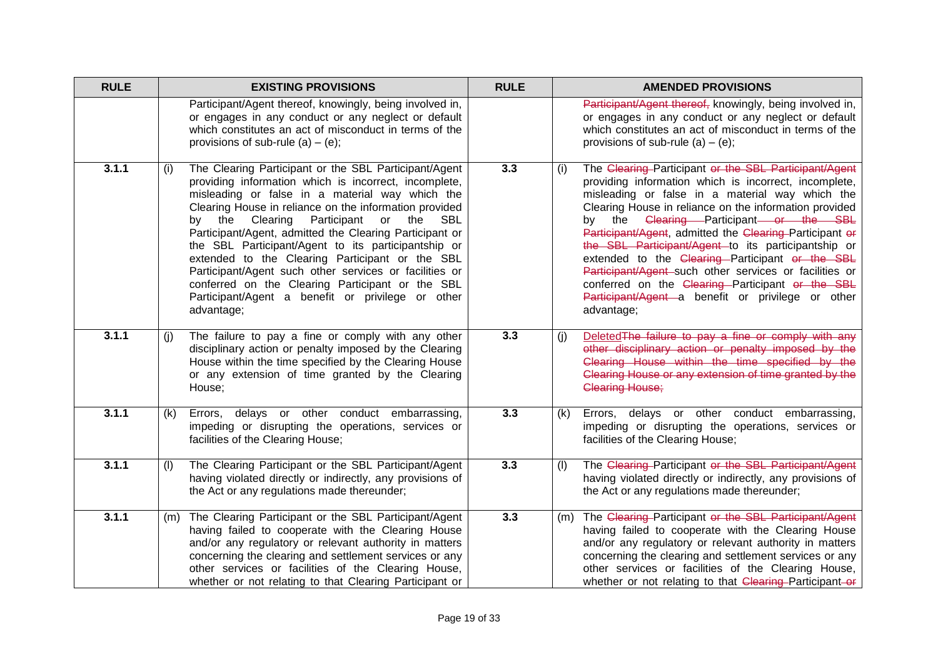| <b>RULE</b> | <b>EXISTING PROVISIONS</b>                                                                                                                                                                                                                                                                                                                                                                                                                                                                                                                                                                                                               | <b>RULE</b> | <b>AMENDED PROVISIONS</b>                                                                                                                                                                                                                                                                                                                                                                                                                                                                                                                                                                                                          |
|-------------|------------------------------------------------------------------------------------------------------------------------------------------------------------------------------------------------------------------------------------------------------------------------------------------------------------------------------------------------------------------------------------------------------------------------------------------------------------------------------------------------------------------------------------------------------------------------------------------------------------------------------------------|-------------|------------------------------------------------------------------------------------------------------------------------------------------------------------------------------------------------------------------------------------------------------------------------------------------------------------------------------------------------------------------------------------------------------------------------------------------------------------------------------------------------------------------------------------------------------------------------------------------------------------------------------------|
|             | Participant/Agent thereof, knowingly, being involved in,<br>or engages in any conduct or any neglect or default<br>which constitutes an act of misconduct in terms of the<br>provisions of sub-rule (a) $-$ (e);                                                                                                                                                                                                                                                                                                                                                                                                                         |             | Participant/Agent thereof, knowingly, being involved in,<br>or engages in any conduct or any neglect or default<br>which constitutes an act of misconduct in terms of the<br>provisions of sub-rule $(a) - (e)$ ;                                                                                                                                                                                                                                                                                                                                                                                                                  |
| 3.1.1       | The Clearing Participant or the SBL Participant/Agent<br>(i)<br>providing information which is incorrect, incomplete,<br>misleading or false in a material way which the<br>Clearing House in reliance on the information provided<br>by the Clearing<br>Participant or the<br>SBL<br>Participant/Agent, admitted the Clearing Participant or<br>the SBL Participant/Agent to its participantship or<br>extended to the Clearing Participant or the SBL<br>Participant/Agent such other services or facilities or<br>conferred on the Clearing Participant or the SBL<br>Participant/Agent a benefit or privilege or other<br>advantage; | 3.3         | The Clearing Participant or the SBL Participant/Agent<br>(i)<br>providing information which is incorrect, incomplete,<br>misleading or false in a material way which the<br>Clearing House in reliance on the information provided<br>by the Clearing Participant or the SBL<br>Participant/Agent, admitted the Clearing-Participant or<br>the SBL Participant/Agent to its participantship or<br>extended to the Clearing-Participant or the SBL<br>Participant/Agent such other services or facilities or<br>conferred on the Clearing Participant or the SBL<br>Participant/Agent a benefit or privilege or other<br>advantage; |
| 3.1.1       | The failure to pay a fine or comply with any other<br>(j)<br>disciplinary action or penalty imposed by the Clearing<br>House within the time specified by the Clearing House<br>or any extension of time granted by the Clearing<br>House;                                                                                                                                                                                                                                                                                                                                                                                               | 3.3         | Deleted The failure to pay a fine or comply with any<br>(i)<br>other disciplinary action or penalty imposed by the<br>Clearing House within the time specified by the<br>Clearing House or any extension of time granted by the<br><b>Clearing House;</b>                                                                                                                                                                                                                                                                                                                                                                          |
| 3.1.1       | Errors, delays or other conduct embarrassing,<br>(k)<br>impeding or disrupting the operations, services or<br>facilities of the Clearing House;                                                                                                                                                                                                                                                                                                                                                                                                                                                                                          | 3.3         | Errors, delays or other conduct embarrassing,<br>(k)<br>impeding or disrupting the operations, services or<br>facilities of the Clearing House;                                                                                                                                                                                                                                                                                                                                                                                                                                                                                    |
| 3.1.1       | The Clearing Participant or the SBL Participant/Agent<br>(1)<br>having violated directly or indirectly, any provisions of<br>the Act or any regulations made thereunder;                                                                                                                                                                                                                                                                                                                                                                                                                                                                 | 3.3         | The Clearing Participant or the SBL Participant/Agent<br>(1)<br>having violated directly or indirectly, any provisions of<br>the Act or any regulations made thereunder;                                                                                                                                                                                                                                                                                                                                                                                                                                                           |
| 3.1.1       | The Clearing Participant or the SBL Participant/Agent<br>(m)<br>having failed to cooperate with the Clearing House<br>and/or any regulatory or relevant authority in matters<br>concerning the clearing and settlement services or any<br>other services or facilities of the Clearing House,<br>whether or not relating to that Clearing Participant or                                                                                                                                                                                                                                                                                 | 3.3         | The Clearing Participant or the SBL Participant/Agent<br>(m)<br>having failed to cooperate with the Clearing House<br>and/or any regulatory or relevant authority in matters<br>concerning the clearing and settlement services or any<br>other services or facilities of the Clearing House,<br>whether or not relating to that Clearing-Participant-or                                                                                                                                                                                                                                                                           |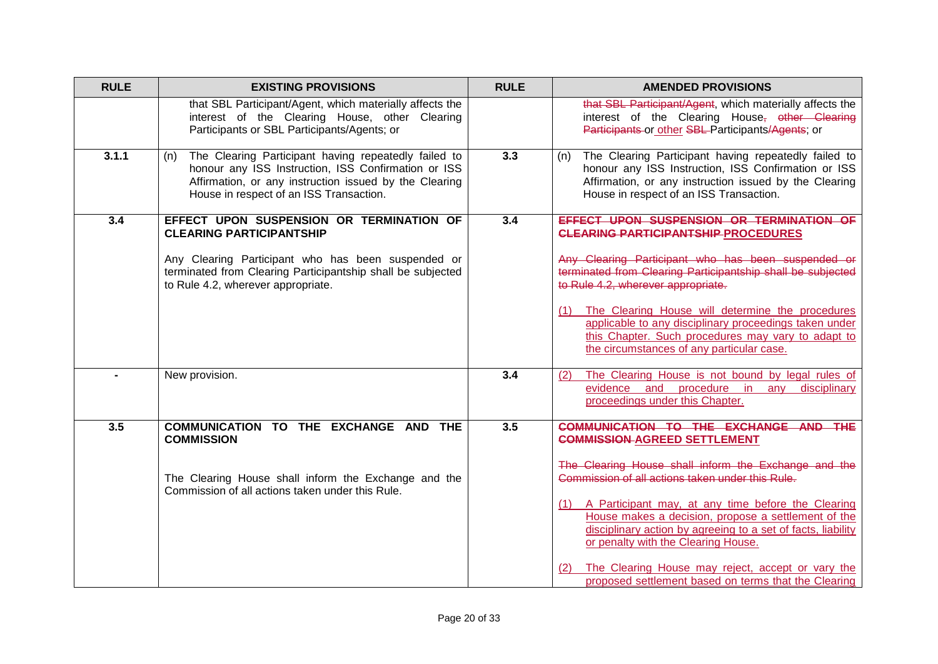| <b>RULE</b> | <b>EXISTING PROVISIONS</b>                                                                                                                                                                                                             | <b>RULE</b> | <b>AMENDED PROVISIONS</b>                                                                                                                                                                                                                                                                                                                                                                                                                                                                                                     |
|-------------|----------------------------------------------------------------------------------------------------------------------------------------------------------------------------------------------------------------------------------------|-------------|-------------------------------------------------------------------------------------------------------------------------------------------------------------------------------------------------------------------------------------------------------------------------------------------------------------------------------------------------------------------------------------------------------------------------------------------------------------------------------------------------------------------------------|
|             | that SBL Participant/Agent, which materially affects the<br>interest of the Clearing House, other Clearing<br>Participants or SBL Participants/Agents; or                                                                              |             | that SBL Participant/Agent, which materially affects the<br>interest of the Clearing House, other Clearing<br>Participants or other SBL Participants/Agents; or                                                                                                                                                                                                                                                                                                                                                               |
| 3.1.1       | The Clearing Participant having repeatedly failed to<br>(n)<br>honour any ISS Instruction, ISS Confirmation or ISS<br>Affirmation, or any instruction issued by the Clearing<br>House in respect of an ISS Transaction.                | 3.3         | The Clearing Participant having repeatedly failed to<br>(n)<br>honour any ISS Instruction, ISS Confirmation or ISS<br>Affirmation, or any instruction issued by the Clearing<br>House in respect of an ISS Transaction.                                                                                                                                                                                                                                                                                                       |
| 3.4         | EFFECT UPON SUSPENSION OR TERMINATION OF<br><b>CLEARING PARTICIPANTSHIP</b><br>Any Clearing Participant who has been suspended or<br>terminated from Clearing Participantship shall be subjected<br>to Rule 4.2, wherever appropriate. | 3.4         | EFFECT UPON SUSPENSION OR TERMINATION OF<br><b>CLEARING PARTICIPANTSHIP PROCEDURES</b><br>Any Clearing Participant who has been suspended or<br>terminated from Clearing Participantship shall be subjected<br>to Rule 4.2, wherever appropriate.<br>(1) The Clearing House will determine the procedures<br>applicable to any disciplinary proceedings taken under<br>this Chapter. Such procedures may vary to adapt to<br>the circumstances of any particular case.                                                        |
|             | New provision.                                                                                                                                                                                                                         | 3.4         | The Clearing House is not bound by legal rules of<br>(2)<br>evidence and procedure in<br>disciplinary<br>any<br>proceedings under this Chapter.                                                                                                                                                                                                                                                                                                                                                                               |
| 3.5         | COMMUNICATION TO THE EXCHANGE AND THE<br><b>COMMISSION</b><br>The Clearing House shall inform the Exchange and the<br>Commission of all actions taken under this Rule.                                                                 | 3.5         | COMMUNICATION TO THE EXCHANGE AND THE<br><b>COMMISSION-AGREED SETTLEMENT</b><br>The Clearing House shall inform the Exchange and the<br>Commission of all actions taken under this Rule.<br>(1) A Participant may, at any time before the Clearing<br>House makes a decision, propose a settlement of the<br>disciplinary action by agreeing to a set of facts, liability<br>or penalty with the Clearing House.<br>The Clearing House may reject, accept or vary the<br>proposed settlement based on terms that the Clearing |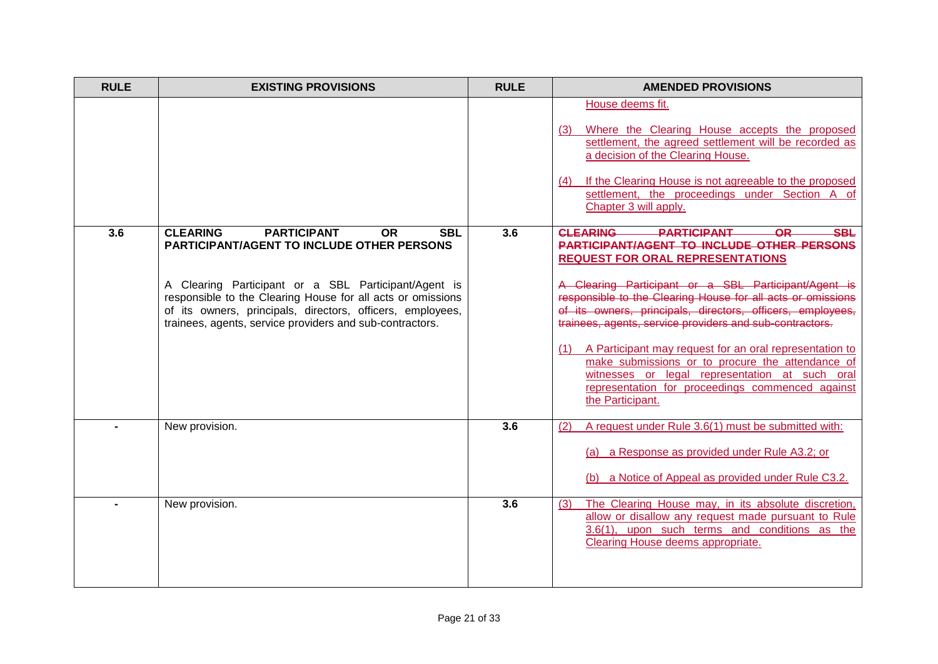| <b>RULE</b> | <b>EXISTING PROVISIONS</b>                                                                                                                                                                                                                                                                                                                                             | <b>RULE</b> | <b>AMENDED PROVISIONS</b>                                                                                                                                                                                                                                                                                                                                                                                                                                                                                                                                                                                                                                   |
|-------------|------------------------------------------------------------------------------------------------------------------------------------------------------------------------------------------------------------------------------------------------------------------------------------------------------------------------------------------------------------------------|-------------|-------------------------------------------------------------------------------------------------------------------------------------------------------------------------------------------------------------------------------------------------------------------------------------------------------------------------------------------------------------------------------------------------------------------------------------------------------------------------------------------------------------------------------------------------------------------------------------------------------------------------------------------------------------|
|             |                                                                                                                                                                                                                                                                                                                                                                        |             | House deems fit.<br>Where the Clearing House accepts the proposed<br>settlement, the agreed settlement will be recorded as<br>a decision of the Clearing House.<br>If the Clearing House is not agreeable to the proposed<br>(4)<br>settlement, the proceedings under Section A of<br>Chapter 3 will apply.                                                                                                                                                                                                                                                                                                                                                 |
| 3.6         | <b>CLEARING</b><br><b>PARTICIPANT</b><br><b>OR</b><br><b>SBL</b><br><b>PARTICIPANT/AGENT TO INCLUDE OTHER PERSONS</b><br>A Clearing Participant or a SBL Participant/Agent is<br>responsible to the Clearing House for all acts or omissions<br>of its owners, principals, directors, officers, employees,<br>trainees, agents, service providers and sub-contractors. | 3.6         | <b>CLEARING</b><br><b>PARTICIPANT</b><br>$-$ OR<br><b>SBL</b><br><b>PARTICIPANT/AGENT TO INCLUDE OTHER PERSONS</b><br><b>REQUEST FOR ORAL REPRESENTATIONS</b><br>A Clearing Participant or a SBL Participant/Agent is<br>responsible to the Clearing House for all acts or omissions<br>of its owners, principals, directors, officers, employees,<br>trainees, agents, service providers and sub-contractors.<br>(1) A Participant may request for an oral representation to<br>make submissions or to procure the attendance of<br>witnesses or legal representation at such oral<br>representation for proceedings commenced against<br>the Participant. |
|             | New provision.                                                                                                                                                                                                                                                                                                                                                         | 3.6         | A request under Rule 3.6(1) must be submitted with:<br>(2)<br>(a) a Response as provided under Rule A3.2; or<br>(b) a Notice of Appeal as provided under Rule C3.2.                                                                                                                                                                                                                                                                                                                                                                                                                                                                                         |
|             | New provision.                                                                                                                                                                                                                                                                                                                                                         | 3.6         | The Clearing House may, in its absolute discretion,<br>(3)<br>allow or disallow any request made pursuant to Rule<br>3.6(1), upon such terms and conditions as the<br>Clearing House deems appropriate.                                                                                                                                                                                                                                                                                                                                                                                                                                                     |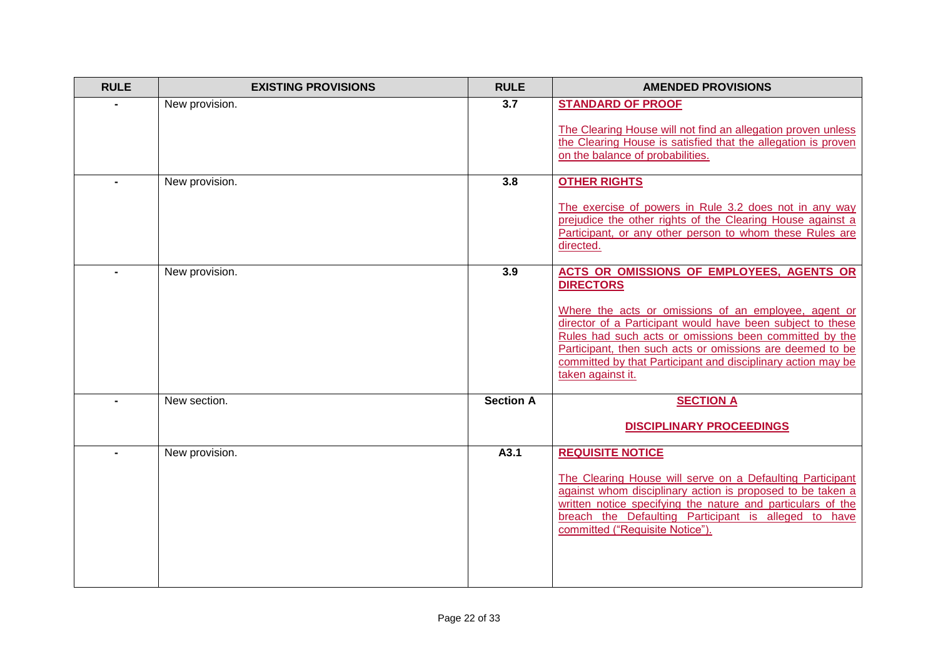| <b>RULE</b> | <b>EXISTING PROVISIONS</b> | <b>RULE</b>      | <b>AMENDED PROVISIONS</b>                                                                                                                                                                                                                                                                                                                                                                       |
|-------------|----------------------------|------------------|-------------------------------------------------------------------------------------------------------------------------------------------------------------------------------------------------------------------------------------------------------------------------------------------------------------------------------------------------------------------------------------------------|
|             | New provision.             | $\overline{3.7}$ | <b>STANDARD OF PROOF</b><br>The Clearing House will not find an allegation proven unless<br>the Clearing House is satisfied that the allegation is proven<br>on the balance of probabilities.                                                                                                                                                                                                   |
|             | New provision.             | 3.8              | <b>OTHER RIGHTS</b><br>The exercise of powers in Rule 3.2 does not in any way<br>prejudice the other rights of the Clearing House against a<br>Participant, or any other person to whom these Rules are<br>directed.                                                                                                                                                                            |
|             | New provision.             | 3.9              | ACTS OR OMISSIONS OF EMPLOYEES, AGENTS OR<br><b>DIRECTORS</b><br>Where the acts or omissions of an employee, agent or<br>director of a Participant would have been subject to these<br>Rules had such acts or omissions been committed by the<br>Participant, then such acts or omissions are deemed to be<br>committed by that Participant and disciplinary action may be<br>taken against it. |
|             | New section.               | <b>Section A</b> | <b>SECTION A</b><br><b>DISCIPLINARY PROCEEDINGS</b>                                                                                                                                                                                                                                                                                                                                             |
|             | New provision.             | A3.1             | <b>REQUISITE NOTICE</b><br>The Clearing House will serve on a Defaulting Participant<br>against whom disciplinary action is proposed to be taken a<br>written notice specifying the nature and particulars of the<br>breach the Defaulting Participant is alleged to have<br>committed ("Requisite Notice").                                                                                    |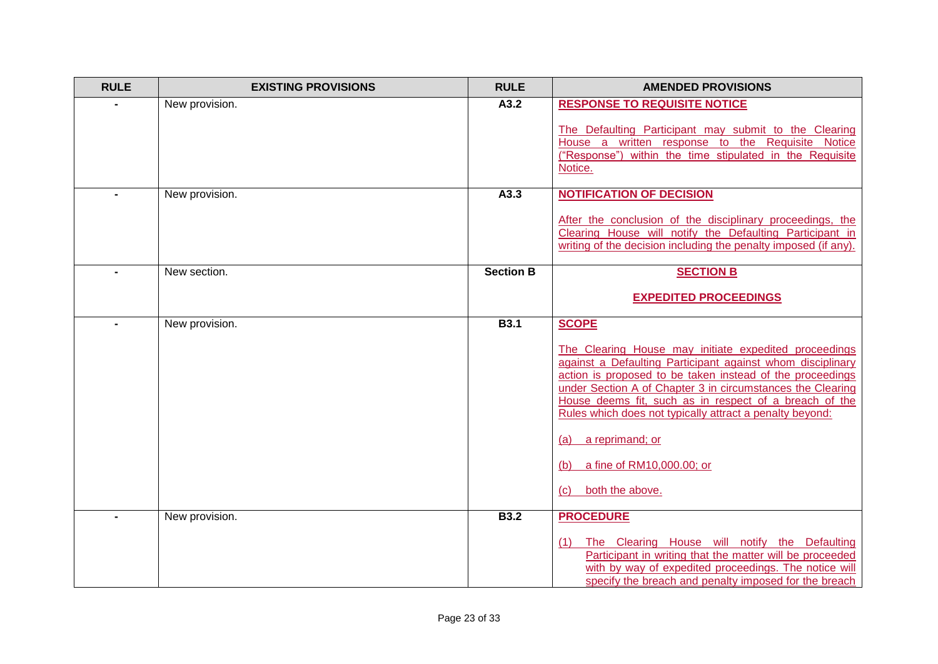| <b>RULE</b> | <b>EXISTING PROVISIONS</b> | <b>RULE</b>      | <b>AMENDED PROVISIONS</b>                                                                                                                                                                                                                                                                                                                                                                                                                                                    |
|-------------|----------------------------|------------------|------------------------------------------------------------------------------------------------------------------------------------------------------------------------------------------------------------------------------------------------------------------------------------------------------------------------------------------------------------------------------------------------------------------------------------------------------------------------------|
|             | New provision.             | A3.2             | <b>RESPONSE TO REQUISITE NOTICE</b><br>The Defaulting Participant may submit to the Clearing<br>House a written response to the Requisite Notice                                                                                                                                                                                                                                                                                                                             |
|             |                            |                  | ("Response") within the time stipulated in the Requisite<br>Notice.                                                                                                                                                                                                                                                                                                                                                                                                          |
|             | New provision.             | A3.3             | <b>NOTIFICATION OF DECISION</b><br>After the conclusion of the disciplinary proceedings, the<br>Clearing House will notify the Defaulting Participant in<br>writing of the decision including the penalty imposed (if any).                                                                                                                                                                                                                                                  |
|             | New section.               | <b>Section B</b> | <b>SECTION B</b>                                                                                                                                                                                                                                                                                                                                                                                                                                                             |
|             |                            |                  | <b>EXPEDITED PROCEEDINGS</b>                                                                                                                                                                                                                                                                                                                                                                                                                                                 |
|             | New provision.             | <b>B3.1</b>      | <b>SCOPE</b><br>The Clearing House may initiate expedited proceedings<br>against a Defaulting Participant against whom disciplinary<br>action is proposed to be taken instead of the proceedings<br>under Section A of Chapter 3 in circumstances the Clearing<br>House deems fit, such as in respect of a breach of the<br>Rules which does not typically attract a penalty beyond:<br>a reprimand; or<br>(a)<br>a fine of RM10,000.00; or<br>(b)<br>both the above.<br>(c) |
|             | New provision.             | <b>B3.2</b>      | <b>PROCEDURE</b><br>The Clearing House will notify the Defaulting<br>(1)<br>Participant in writing that the matter will be proceeded<br>with by way of expedited proceedings. The notice will<br>specify the breach and penalty imposed for the breach                                                                                                                                                                                                                       |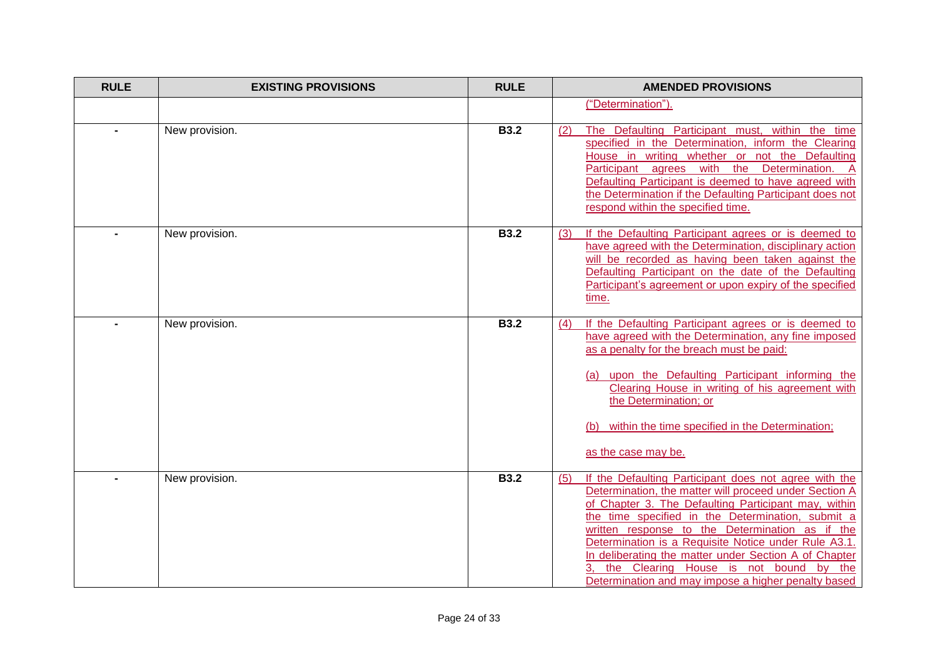| <b>RULE</b> | <b>EXISTING PROVISIONS</b> | <b>RULE</b> | <b>AMENDED PROVISIONS</b>                                                                                                                                                                                                                                                                                                                                                                                                                                                                                |
|-------------|----------------------------|-------------|----------------------------------------------------------------------------------------------------------------------------------------------------------------------------------------------------------------------------------------------------------------------------------------------------------------------------------------------------------------------------------------------------------------------------------------------------------------------------------------------------------|
|             |                            |             | ("Determination").                                                                                                                                                                                                                                                                                                                                                                                                                                                                                       |
|             | New provision.             | <b>B3.2</b> | The Defaulting Participant must, within the time<br>(2)<br>specified in the Determination, inform the Clearing<br>House in writing whether or not the Defaulting<br>Participant agrees with the Determination. A<br>Defaulting Participant is deemed to have agreed with<br>the Determination if the Defaulting Participant does not<br>respond within the specified time.                                                                                                                               |
|             | New provision.             | <b>B3.2</b> | If the Defaulting Participant agrees or is deemed to<br>(3)<br>have agreed with the Determination, disciplinary action<br>will be recorded as having been taken against the<br>Defaulting Participant on the date of the Defaulting<br>Participant's agreement or upon expiry of the specified<br>time.                                                                                                                                                                                                  |
|             | New provision.             | <b>B3.2</b> | If the Defaulting Participant agrees or is deemed to<br>(4)<br>have agreed with the Determination, any fine imposed<br>as a penalty for the breach must be paid:<br>(a) upon the Defaulting Participant informing the<br>Clearing House in writing of his agreement with<br>the Determination; or<br>within the time specified in the Determination;<br>as the case may be.                                                                                                                              |
|             | New provision.             | <b>B3.2</b> | If the Defaulting Participant does not agree with the<br>(5)<br>Determination, the matter will proceed under Section A<br>of Chapter 3. The Defaulting Participant may, within<br>the time specified in the Determination, submit a<br>written response to the Determination as if the<br>Determination is a Requisite Notice under Rule A3.1.<br>In deliberating the matter under Section A of Chapter<br>the Clearing House is not bound by the<br>Determination and may impose a higher penalty based |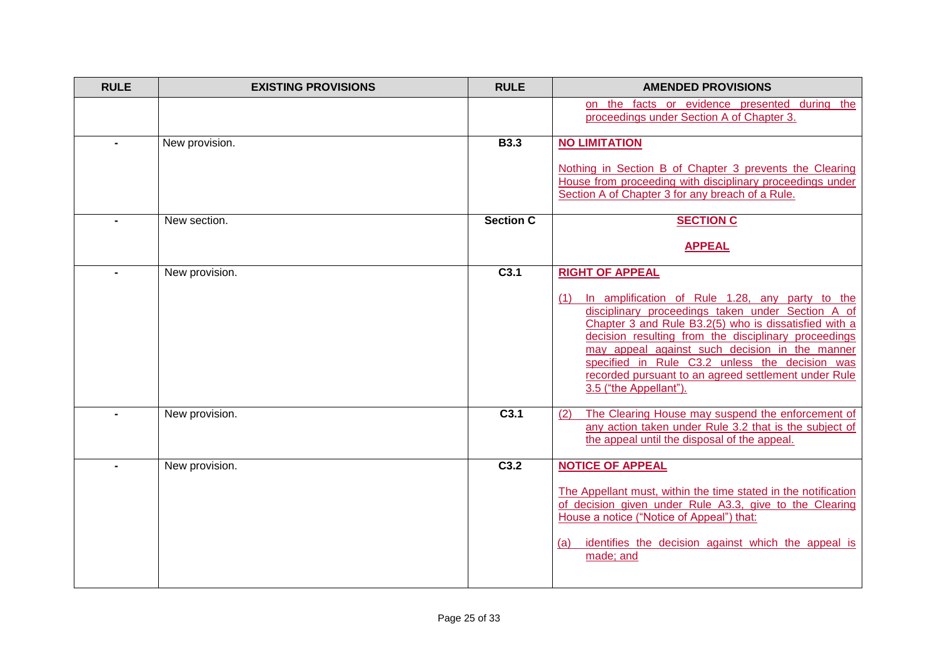| <b>RULE</b> | <b>EXISTING PROVISIONS</b> | <b>RULE</b>      | <b>AMENDED PROVISIONS</b>                                                                                                                                                                                                                                                                                                                                                                                       |
|-------------|----------------------------|------------------|-----------------------------------------------------------------------------------------------------------------------------------------------------------------------------------------------------------------------------------------------------------------------------------------------------------------------------------------------------------------------------------------------------------------|
|             |                            |                  | on the facts or evidence presented during the<br>proceedings under Section A of Chapter 3.                                                                                                                                                                                                                                                                                                                      |
|             | New provision.             | <b>B3.3</b>      | <b>NO LIMITATION</b>                                                                                                                                                                                                                                                                                                                                                                                            |
|             |                            |                  | Nothing in Section B of Chapter 3 prevents the Clearing<br>House from proceeding with disciplinary proceedings under<br>Section A of Chapter 3 for any breach of a Rule.                                                                                                                                                                                                                                        |
|             | New section.               | <b>Section C</b> | <b>SECTION C</b>                                                                                                                                                                                                                                                                                                                                                                                                |
|             |                            |                  | <b>APPEAL</b>                                                                                                                                                                                                                                                                                                                                                                                                   |
|             | New provision.             | C <sub>3.1</sub> | <b>RIGHT OF APPEAL</b>                                                                                                                                                                                                                                                                                                                                                                                          |
|             |                            |                  | (1) In amplification of Rule 1.28, any party to the<br>disciplinary proceedings taken under Section A of<br>Chapter 3 and Rule B3.2(5) who is dissatisfied with a<br>decision resulting from the disciplinary proceedings<br>may appeal against such decision in the manner<br>specified in Rule C3.2 unless the decision was<br>recorded pursuant to an agreed settlement under Rule<br>3.5 ("the Appellant"). |
|             | New provision.             | C3.1             | The Clearing House may suspend the enforcement of<br>(2)<br>any action taken under Rule 3.2 that is the subject of<br>the appeal until the disposal of the appeal.                                                                                                                                                                                                                                              |
|             | New provision.             | C3.2             | <b>NOTICE OF APPEAL</b>                                                                                                                                                                                                                                                                                                                                                                                         |
|             |                            |                  | The Appellant must, within the time stated in the notification<br>of decision given under Rule A3.3, give to the Clearing<br>House a notice ("Notice of Appeal") that:<br>identifies the decision against which the appeal is<br>(a)<br>made; and                                                                                                                                                               |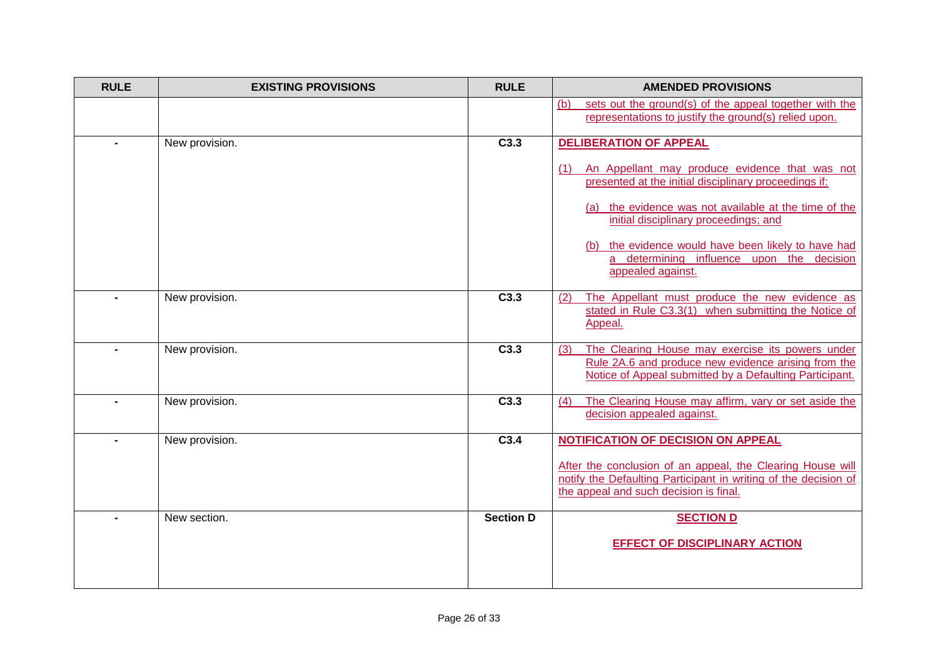| <b>RULE</b> | <b>EXISTING PROVISIONS</b> | <b>RULE</b>      | <b>AMENDED PROVISIONS</b>                                                                                                                                                                                                                                                                                                              |
|-------------|----------------------------|------------------|----------------------------------------------------------------------------------------------------------------------------------------------------------------------------------------------------------------------------------------------------------------------------------------------------------------------------------------|
|             |                            |                  | sets out the ground(s) of the appeal together with the<br>(b)<br>representations to justify the ground(s) relied upon.                                                                                                                                                                                                                 |
|             | New provision.             | C3.3             | <b>DELIBERATION OF APPEAL</b>                                                                                                                                                                                                                                                                                                          |
|             |                            |                  | (1) An Appellant may produce evidence that was not<br>presented at the initial disciplinary proceedings if:<br>(a) the evidence was not available at the time of the<br>initial disciplinary proceedings; and<br>(b) the evidence would have been likely to have had<br>a determining influence upon the decision<br>appealed against. |
|             | New provision.             | C3.3             | The Appellant must produce the new evidence as<br>(2)<br>stated in Rule C3.3(1) when submitting the Notice of<br>Appeal.                                                                                                                                                                                                               |
|             | New provision.             | C3.3             | The Clearing House may exercise its powers under<br>(3)<br>Rule 2A.6 and produce new evidence arising from the<br>Notice of Appeal submitted by a Defaulting Participant.                                                                                                                                                              |
|             | New provision.             | C3.3             | The Clearing House may affirm, vary or set aside the<br>(4)<br>decision appealed against.                                                                                                                                                                                                                                              |
|             | New provision.             | C3.4             | <b>NOTIFICATION OF DECISION ON APPEAL</b><br>After the conclusion of an appeal, the Clearing House will<br>notify the Defaulting Participant in writing of the decision of<br>the appeal and such decision is final.                                                                                                                   |
|             | New section.               | <b>Section D</b> | <b>SECTION D</b>                                                                                                                                                                                                                                                                                                                       |
|             |                            |                  | <b>EFFECT OF DISCIPLINARY ACTION</b>                                                                                                                                                                                                                                                                                                   |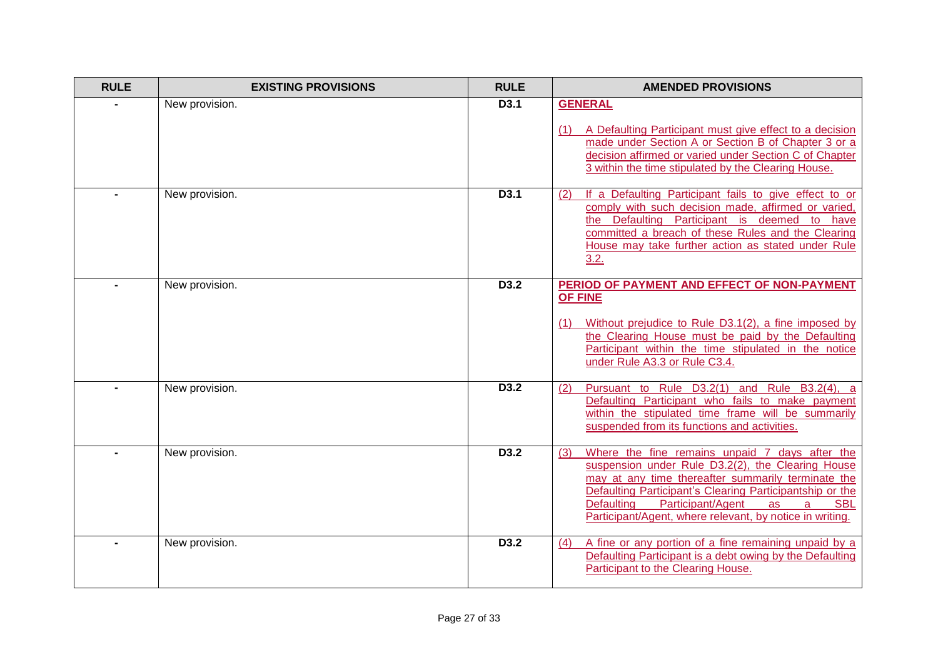| <b>RULE</b> | <b>EXISTING PROVISIONS</b> | <b>RULE</b> | <b>AMENDED PROVISIONS</b>                                                                                                                                                                                                                                                                                                                                   |
|-------------|----------------------------|-------------|-------------------------------------------------------------------------------------------------------------------------------------------------------------------------------------------------------------------------------------------------------------------------------------------------------------------------------------------------------------|
|             | New provision.             | D3.1        | <b>GENERAL</b><br>A Defaulting Participant must give effect to a decision<br>made under Section A or Section B of Chapter 3 or a<br>decision affirmed or varied under Section C of Chapter<br>3 within the time stipulated by the Clearing House.                                                                                                           |
|             | New provision.             | D3.1        | (2)<br>If a Defaulting Participant fails to give effect to or<br>comply with such decision made, affirmed or varied,<br>the Defaulting Participant is deemed to have<br>committed a breach of these Rules and the Clearing<br>House may take further action as stated under Rule<br>3.2.                                                                    |
|             | New provision.             | D3.2        | PERIOD OF PAYMENT AND EFFECT OF NON-PAYMENT<br>OF FINE<br>Without prejudice to Rule D3.1(2), a fine imposed by<br>the Clearing House must be paid by the Defaulting<br>Participant within the time stipulated in the notice<br>under Rule A3.3 or Rule C3.4.                                                                                                |
|             | New provision.             | D3.2        | Pursuant to Rule D3.2(1) and Rule B3.2(4), a<br>(2)<br>Defaulting Participant who fails to make payment<br>within the stipulated time frame will be summarily<br>suspended from its functions and activities.                                                                                                                                               |
|             | New provision.             | D3.2        | Where the fine remains unpaid 7 days after the<br>(3)<br>suspension under Rule D3.2(2), the Clearing House<br>may at any time thereafter summarily terminate the<br>Defaulting Participant's Clearing Participantship or the<br>Participant/Agent<br><b>Defaulting</b><br>as<br><b>SBL</b><br>a<br>Participant/Agent, where relevant, by notice in writing. |
|             | New provision.             | D3.2        | A fine or any portion of a fine remaining unpaid by a<br>(4)<br>Defaulting Participant is a debt owing by the Defaulting<br>Participant to the Clearing House.                                                                                                                                                                                              |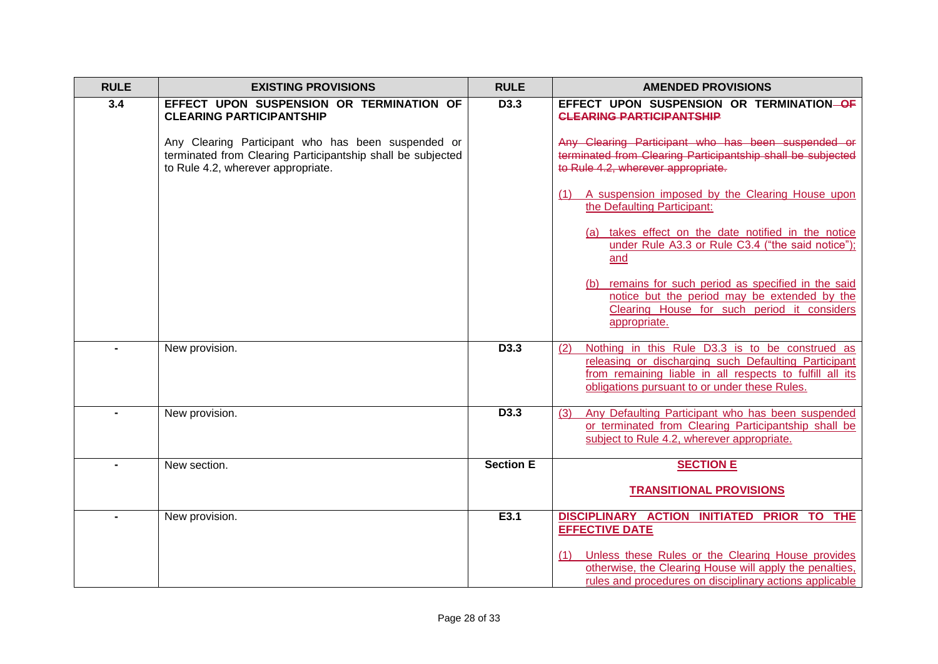| <b>RULE</b> | <b>EXISTING PROVISIONS</b>                                                                                                                              | <b>RULE</b>      | <b>AMENDED PROVISIONS</b>                                                                                                                                                                                                   |
|-------------|---------------------------------------------------------------------------------------------------------------------------------------------------------|------------------|-----------------------------------------------------------------------------------------------------------------------------------------------------------------------------------------------------------------------------|
| 3.4         | EFFECT UPON SUSPENSION OR TERMINATION OF<br><b>CLEARING PARTICIPANTSHIP</b>                                                                             | D3.3             | EFFECT UPON SUSPENSION OR TERMINATION-OF<br><b>CLEARING PARTICIPANTSHIP</b>                                                                                                                                                 |
|             | Any Clearing Participant who has been suspended or<br>terminated from Clearing Participantship shall be subjected<br>to Rule 4.2, wherever appropriate. |                  | Any Clearing Participant who has been suspended or<br>terminated from Clearing Participantship shall be subjected<br>to Rule 4.2, wherever appropriate.                                                                     |
|             |                                                                                                                                                         |                  | (1) A suspension imposed by the Clearing House upon<br>the Defaulting Participant:                                                                                                                                          |
|             |                                                                                                                                                         |                  | (a) takes effect on the date notified in the notice<br>under Rule A3.3 or Rule C3.4 ("the said notice");<br>and                                                                                                             |
|             |                                                                                                                                                         |                  | (b) remains for such period as specified in the said<br>notice but the period may be extended by the<br>Clearing House for such period it considers<br>appropriate.                                                         |
|             | New provision.                                                                                                                                          | D <sub>3.3</sub> | Nothing in this Rule D3.3 is to be construed as<br>(2)<br>releasing or discharging such Defaulting Participant<br>from remaining liable in all respects to fulfill all its<br>obligations pursuant to or under these Rules. |
|             | New provision.                                                                                                                                          | D3.3             | (3)<br>Any Defaulting Participant who has been suspended<br>or terminated from Clearing Participantship shall be<br>subject to Rule 4.2, wherever appropriate.                                                              |
|             | New section.                                                                                                                                            | <b>Section E</b> | <b>SECTION E</b>                                                                                                                                                                                                            |
|             |                                                                                                                                                         |                  | <b>TRANSITIONAL PROVISIONS</b>                                                                                                                                                                                              |
|             | New provision.                                                                                                                                          | E3.1             | DISCIPLINARY ACTION INITIATED PRIOR TO THE<br><b>EFFECTIVE DATE</b>                                                                                                                                                         |
|             |                                                                                                                                                         |                  | Unless these Rules or the Clearing House provides<br>(1)<br>otherwise, the Clearing House will apply the penalties,<br>rules and procedures on disciplinary actions applicable                                              |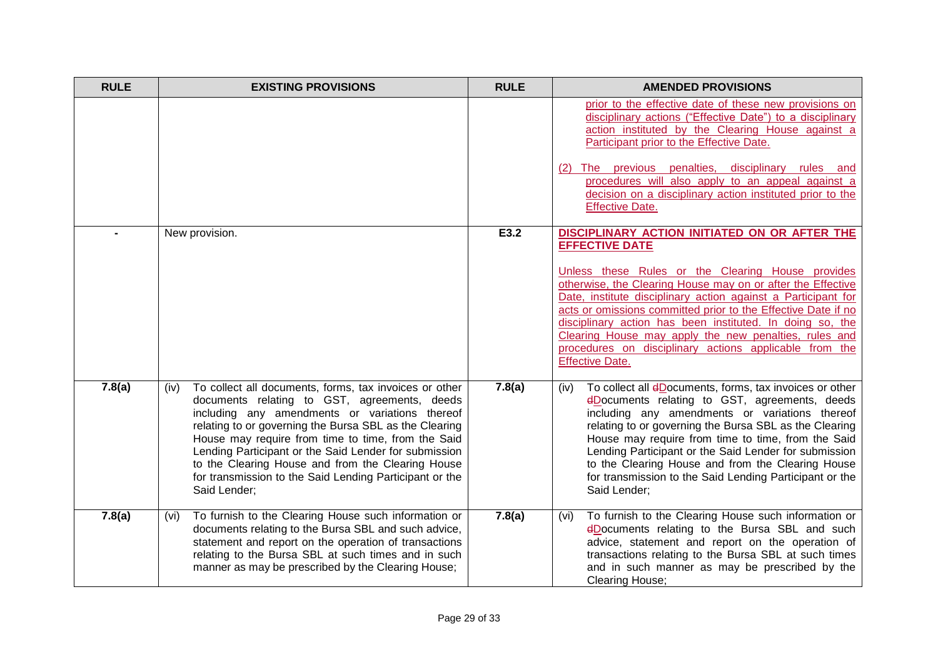| <b>RULE</b> | <b>EXISTING PROVISIONS</b>                                                                                                                                                                                                                                                                                                                                                                                                                                                | <b>RULE</b> | <b>AMENDED PROVISIONS</b>                                                                                                                                                                                                                                                                                                                                                                                                                                                                                                              |
|-------------|---------------------------------------------------------------------------------------------------------------------------------------------------------------------------------------------------------------------------------------------------------------------------------------------------------------------------------------------------------------------------------------------------------------------------------------------------------------------------|-------------|----------------------------------------------------------------------------------------------------------------------------------------------------------------------------------------------------------------------------------------------------------------------------------------------------------------------------------------------------------------------------------------------------------------------------------------------------------------------------------------------------------------------------------------|
|             |                                                                                                                                                                                                                                                                                                                                                                                                                                                                           |             | prior to the effective date of these new provisions on<br>disciplinary actions ("Effective Date") to a disciplinary<br>action instituted by the Clearing House against a<br>Participant prior to the Effective Date.<br>(2) The previous penalties, disciplinary rules and<br>procedures will also apply to an appeal against a<br>decision on a disciplinary action instituted prior to the<br><b>Effective Date.</b>                                                                                                                 |
|             | New provision.                                                                                                                                                                                                                                                                                                                                                                                                                                                            | E3.2        | DISCIPLINARY ACTION INITIATED ON OR AFTER THE<br><b>EFFECTIVE DATE</b><br>Unless these Rules or the Clearing House provides<br>otherwise, the Clearing House may on or after the Effective<br>Date, institute disciplinary action against a Participant for<br>acts or omissions committed prior to the Effective Date if no<br>disciplinary action has been instituted. In doing so, the<br>Clearing House may apply the new penalties, rules and<br>procedures on disciplinary actions applicable from the<br><b>Effective Date.</b> |
| 7.8(a)      | To collect all documents, forms, tax invoices or other<br>(iv)<br>documents relating to GST, agreements, deeds<br>including any amendments or variations thereof<br>relating to or governing the Bursa SBL as the Clearing<br>House may require from time to time, from the Said<br>Lending Participant or the Said Lender for submission<br>to the Clearing House and from the Clearing House<br>for transmission to the Said Lending Participant or the<br>Said Lender; | 7.8(a)      | To collect all dDocuments, forms, tax invoices or other<br>(iv)<br>eDocuments relating to GST, agreements, deeds<br>including any amendments or variations thereof<br>relating to or governing the Bursa SBL as the Clearing<br>House may require from time to time, from the Said<br>Lending Participant or the Said Lender for submission<br>to the Clearing House and from the Clearing House<br>for transmission to the Said Lending Participant or the<br>Said Lender;                                                            |
| 7.8(a)      | To furnish to the Clearing House such information or<br>(vi)<br>documents relating to the Bursa SBL and such advice,<br>statement and report on the operation of transactions<br>relating to the Bursa SBL at such times and in such<br>manner as may be prescribed by the Clearing House;                                                                                                                                                                                | 7.8(a)      | To furnish to the Clearing House such information or<br>(vi)<br>dDocuments relating to the Bursa SBL and such<br>advice, statement and report on the operation of<br>transactions relating to the Bursa SBL at such times<br>and in such manner as may be prescribed by the<br>Clearing House;                                                                                                                                                                                                                                         |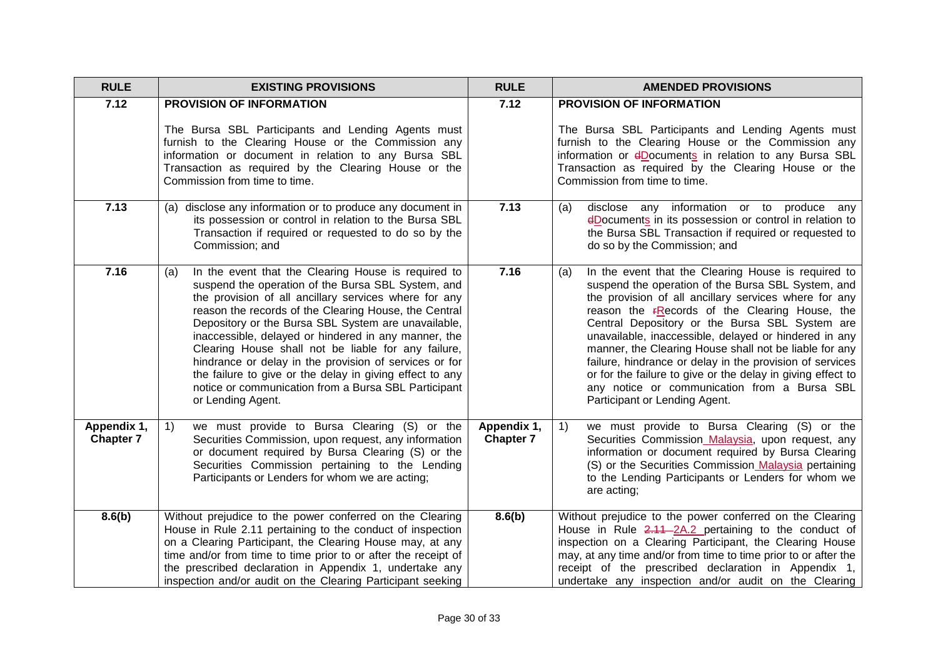| <b>RULE</b>                     | <b>EXISTING PROVISIONS</b>                                                                                                                                                                                                                                                                                                                                                                                                                                                                                                                                                                                  | <b>RULE</b>                     | <b>AMENDED PROVISIONS</b>                                                                                                                                                                                                                                                                                                                                                                                                                                                                                                                                                                                           |
|---------------------------------|-------------------------------------------------------------------------------------------------------------------------------------------------------------------------------------------------------------------------------------------------------------------------------------------------------------------------------------------------------------------------------------------------------------------------------------------------------------------------------------------------------------------------------------------------------------------------------------------------------------|---------------------------------|---------------------------------------------------------------------------------------------------------------------------------------------------------------------------------------------------------------------------------------------------------------------------------------------------------------------------------------------------------------------------------------------------------------------------------------------------------------------------------------------------------------------------------------------------------------------------------------------------------------------|
| 7.12                            | PROVISION OF INFORMATION<br>The Bursa SBL Participants and Lending Agents must<br>furnish to the Clearing House or the Commission any<br>information or document in relation to any Bursa SBL<br>Transaction as required by the Clearing House or the<br>Commission from time to time.                                                                                                                                                                                                                                                                                                                      | 7.12                            | PROVISION OF INFORMATION<br>The Bursa SBL Participants and Lending Agents must<br>furnish to the Clearing House or the Commission any<br>information or <b>dDocuments</b> in relation to any Bursa SBL<br>Transaction as required by the Clearing House or the<br>Commission from time to time.                                                                                                                                                                                                                                                                                                                     |
| 7.13                            | (a) disclose any information or to produce any document in<br>its possession or control in relation to the Bursa SBL<br>Transaction if required or requested to do so by the<br>Commission; and                                                                                                                                                                                                                                                                                                                                                                                                             | 7.13                            | disclose any information or to produce any<br>(a)<br>eDocuments in its possession or control in relation to<br>the Bursa SBL Transaction if required or requested to<br>do so by the Commission; and                                                                                                                                                                                                                                                                                                                                                                                                                |
| 7.16                            | In the event that the Clearing House is required to<br>(a)<br>suspend the operation of the Bursa SBL System, and<br>the provision of all ancillary services where for any<br>reason the records of the Clearing House, the Central<br>Depository or the Bursa SBL System are unavailable,<br>inaccessible, delayed or hindered in any manner, the<br>Clearing House shall not be liable for any failure,<br>hindrance or delay in the provision of services or for<br>the failure to give or the delay in giving effect to any<br>notice or communication from a Bursa SBL Participant<br>or Lending Agent. | 7.16                            | In the event that the Clearing House is required to<br>(a)<br>suspend the operation of the Bursa SBL System, and<br>the provision of all ancillary services where for any<br>reason the <b>FRecords</b> of the Clearing House, the<br>Central Depository or the Bursa SBL System are<br>unavailable, inaccessible, delayed or hindered in any<br>manner, the Clearing House shall not be liable for any<br>failure, hindrance or delay in the provision of services<br>or for the failure to give or the delay in giving effect to<br>any notice or communication from a Bursa SBL<br>Participant or Lending Agent. |
| Appendix 1,<br><b>Chapter 7</b> | we must provide to Bursa Clearing (S) or the<br>1)<br>Securities Commission, upon request, any information<br>or document required by Bursa Clearing (S) or the<br>Securities Commission pertaining to the Lending<br>Participants or Lenders for whom we are acting;                                                                                                                                                                                                                                                                                                                                       | Appendix 1,<br><b>Chapter 7</b> | we must provide to Bursa Clearing (S) or the<br>1)<br>Securities Commission Malaysia, upon request, any<br>information or document required by Bursa Clearing<br>(S) or the Securities Commission Malaysia pertaining<br>to the Lending Participants or Lenders for whom we<br>are acting;                                                                                                                                                                                                                                                                                                                          |
| 8.6(b)                          | Without prejudice to the power conferred on the Clearing<br>House in Rule 2.11 pertaining to the conduct of inspection<br>on a Clearing Participant, the Clearing House may, at any<br>time and/or from time to time prior to or after the receipt of<br>the prescribed declaration in Appendix 1, undertake any<br>inspection and/or audit on the Clearing Participant seeking                                                                                                                                                                                                                             | 8.6(b)                          | Without prejudice to the power conferred on the Clearing<br>House in Rule 2.11 2A.2 pertaining to the conduct of<br>inspection on a Clearing Participant, the Clearing House<br>may, at any time and/or from time to time prior to or after the<br>receipt of the prescribed declaration in Appendix 1,<br>undertake any inspection and/or audit on the Clearing                                                                                                                                                                                                                                                    |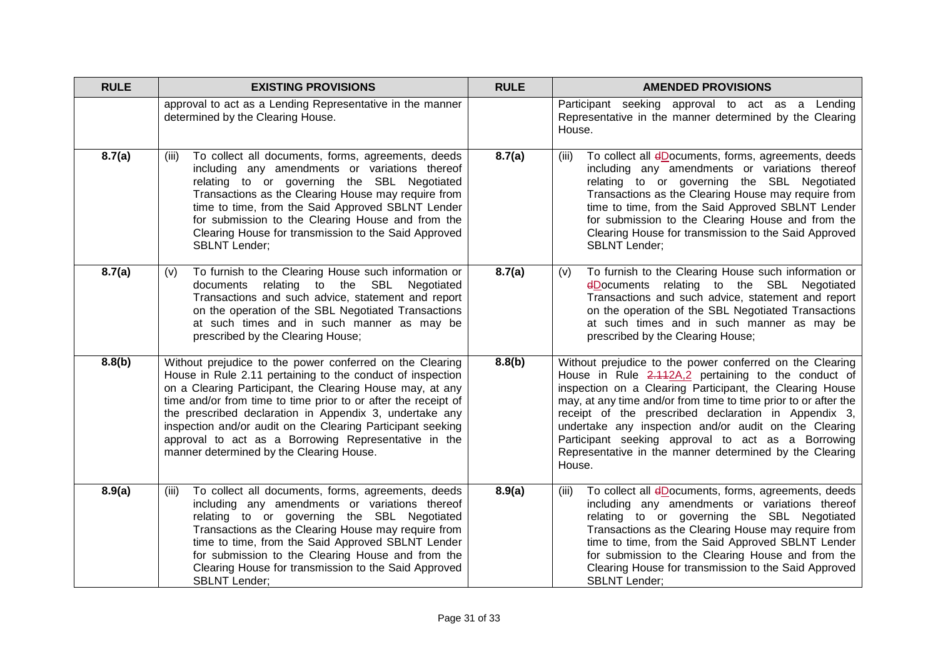| <b>RULE</b> | <b>EXISTING PROVISIONS</b>                                                                                                                                                                                                                                                                                                                                                                                                                                                          | <b>RULE</b> | <b>AMENDED PROVISIONS</b>                                                                                                                                                                                                                                                                                                                                                                                                                                                                  |
|-------------|-------------------------------------------------------------------------------------------------------------------------------------------------------------------------------------------------------------------------------------------------------------------------------------------------------------------------------------------------------------------------------------------------------------------------------------------------------------------------------------|-------------|--------------------------------------------------------------------------------------------------------------------------------------------------------------------------------------------------------------------------------------------------------------------------------------------------------------------------------------------------------------------------------------------------------------------------------------------------------------------------------------------|
|             | approval to act as a Lending Representative in the manner<br>determined by the Clearing House.                                                                                                                                                                                                                                                                                                                                                                                      |             | Participant seeking approval to act as a Lending<br>Representative in the manner determined by the Clearing<br>House.                                                                                                                                                                                                                                                                                                                                                                      |
| 8.7(a)      | To collect all documents, forms, agreements, deeds<br>(iii)<br>including any amendments or variations thereof<br>relating to or governing the SBL Negotiated<br>Transactions as the Clearing House may require from<br>time to time, from the Said Approved SBLNT Lender<br>for submission to the Clearing House and from the<br>Clearing House for transmission to the Said Approved<br><b>SBLNT Lender;</b>                                                                       | 8.7(a)      | To collect all dDocuments, forms, agreements, deeds<br>(iii)<br>including any amendments or variations thereof<br>relating to or governing the SBL Negotiated<br>Transactions as the Clearing House may require from<br>time to time, from the Said Approved SBLNT Lender<br>for submission to the Clearing House and from the<br>Clearing House for transmission to the Said Approved<br><b>SBLNT Lender;</b>                                                                             |
| 8.7(a)      | To furnish to the Clearing House such information or<br>(V)<br>relating to the SBL<br>documents<br>Negotiated<br>Transactions and such advice, statement and report<br>on the operation of the SBL Negotiated Transactions<br>at such times and in such manner as may be<br>prescribed by the Clearing House;                                                                                                                                                                       | 8.7(a)      | To furnish to the Clearing House such information or<br>(v)<br>dDocuments relating to the SBL Negotiated<br>Transactions and such advice, statement and report<br>on the operation of the SBL Negotiated Transactions<br>at such times and in such manner as may be<br>prescribed by the Clearing House;                                                                                                                                                                                   |
| 8.8(b)      | Without prejudice to the power conferred on the Clearing<br>House in Rule 2.11 pertaining to the conduct of inspection<br>on a Clearing Participant, the Clearing House may, at any<br>time and/or from time to time prior to or after the receipt of<br>the prescribed declaration in Appendix 3, undertake any<br>inspection and/or audit on the Clearing Participant seeking<br>approval to act as a Borrowing Representative in the<br>manner determined by the Clearing House. | 8.8(b)      | Without prejudice to the power conferred on the Clearing<br>House in Rule 2.112A,2 pertaining to the conduct of<br>inspection on a Clearing Participant, the Clearing House<br>may, at any time and/or from time to time prior to or after the<br>receipt of the prescribed declaration in Appendix 3,<br>undertake any inspection and/or audit on the Clearing<br>Participant seeking approval to act as a Borrowing<br>Representative in the manner determined by the Clearing<br>House. |
| 8.9(a)      | To collect all documents, forms, agreements, deeds<br>(iii)<br>including any amendments or variations thereof<br>relating to or governing the SBL Negotiated<br>Transactions as the Clearing House may require from<br>time to time, from the Said Approved SBLNT Lender<br>for submission to the Clearing House and from the<br>Clearing House for transmission to the Said Approved<br><b>SBLNT Lender;</b>                                                                       | 8.9(a)      | To collect all dDocuments, forms, agreements, deeds<br>(iii)<br>including any amendments or variations thereof<br>relating to or governing the SBL Negotiated<br>Transactions as the Clearing House may require from<br>time to time, from the Said Approved SBLNT Lender<br>for submission to the Clearing House and from the<br>Clearing House for transmission to the Said Approved<br><b>SBLNT Lender;</b>                                                                             |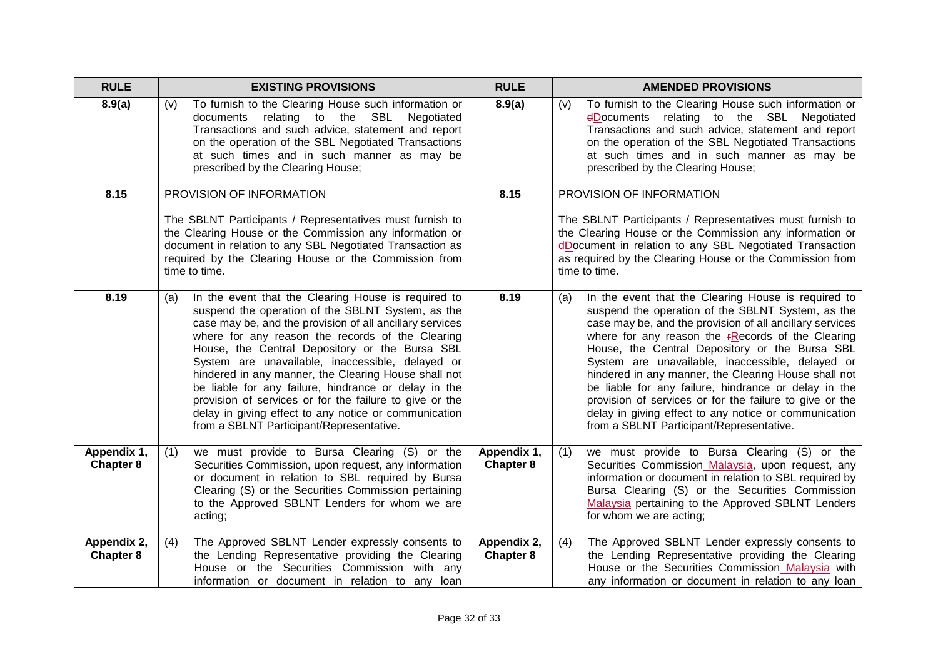| <b>RULE</b>                     | <b>EXISTING PROVISIONS</b>                                                                                                                                                                                                                                                                                                                                                                                                                                                                                                                                                                                            | <b>RULE</b>              | <b>AMENDED PROVISIONS</b>                                                                                                                                                                                                                                                                                                                                                                                                                                                                                                                                                                                                 |
|---------------------------------|-----------------------------------------------------------------------------------------------------------------------------------------------------------------------------------------------------------------------------------------------------------------------------------------------------------------------------------------------------------------------------------------------------------------------------------------------------------------------------------------------------------------------------------------------------------------------------------------------------------------------|--------------------------|---------------------------------------------------------------------------------------------------------------------------------------------------------------------------------------------------------------------------------------------------------------------------------------------------------------------------------------------------------------------------------------------------------------------------------------------------------------------------------------------------------------------------------------------------------------------------------------------------------------------------|
| 8.9(a)                          | To furnish to the Clearing House such information or<br>(v)<br>documents relating to the SBL Negotiated<br>Transactions and such advice, statement and report<br>on the operation of the SBL Negotiated Transactions<br>at such times and in such manner as may be<br>prescribed by the Clearing House;                                                                                                                                                                                                                                                                                                               | 8.9(a)                   | To furnish to the Clearing House such information or<br>(v)<br>dDocuments relating to the SBL Negotiated<br>Transactions and such advice, statement and report<br>on the operation of the SBL Negotiated Transactions<br>at such times and in such manner as may be<br>prescribed by the Clearing House;                                                                                                                                                                                                                                                                                                                  |
| 8.15                            | PROVISION OF INFORMATION                                                                                                                                                                                                                                                                                                                                                                                                                                                                                                                                                                                              | 8.15                     | PROVISION OF INFORMATION                                                                                                                                                                                                                                                                                                                                                                                                                                                                                                                                                                                                  |
|                                 | The SBLNT Participants / Representatives must furnish to<br>the Clearing House or the Commission any information or<br>document in relation to any SBL Negotiated Transaction as<br>required by the Clearing House or the Commission from<br>time to time.                                                                                                                                                                                                                                                                                                                                                            |                          | The SBLNT Participants / Representatives must furnish to<br>the Clearing House or the Commission any information or<br>dDocument in relation to any SBL Negotiated Transaction<br>as required by the Clearing House or the Commission from<br>time to time.                                                                                                                                                                                                                                                                                                                                                               |
| 8.19                            | In the event that the Clearing House is required to<br>(a)<br>suspend the operation of the SBLNT System, as the<br>case may be, and the provision of all ancillary services<br>where for any reason the records of the Clearing<br>House, the Central Depository or the Bursa SBL<br>System are unavailable, inaccessible, delayed or<br>hindered in any manner, the Clearing House shall not<br>be liable for any failure, hindrance or delay in the<br>provision of services or for the failure to give or the<br>delay in giving effect to any notice or communication<br>from a SBLNT Participant/Representative. | 8.19                     | In the event that the Clearing House is required to<br>(a)<br>suspend the operation of the SBLNT System, as the<br>case may be, and the provision of all ancillary services<br>where for any reason the $r$ Records of the Clearing<br>House, the Central Depository or the Bursa SBL<br>System are unavailable, inaccessible, delayed or<br>hindered in any manner, the Clearing House shall not<br>be liable for any failure, hindrance or delay in the<br>provision of services or for the failure to give or the<br>delay in giving effect to any notice or communication<br>from a SBLNT Participant/Representative. |
| Appendix 1,<br><b>Chapter 8</b> | (1)<br>we must provide to Bursa Clearing (S) or the<br>Securities Commission, upon request, any information<br>or document in relation to SBL required by Bursa<br>Clearing (S) or the Securities Commission pertaining<br>to the Approved SBLNT Lenders for whom we are<br>acting;                                                                                                                                                                                                                                                                                                                                   | Appendix 1,<br>Chapter 8 | we must provide to Bursa Clearing (S) or the<br>(1)<br>Securities Commission Malaysia, upon request, any<br>information or document in relation to SBL required by<br>Bursa Clearing (S) or the Securities Commission<br>Malaysia pertaining to the Approved SBLNT Lenders<br>for whom we are acting;                                                                                                                                                                                                                                                                                                                     |
| Appendix 2,<br><b>Chapter 8</b> | The Approved SBLNT Lender expressly consents to<br>(4)<br>the Lending Representative providing the Clearing<br>House or the Securities Commission with any<br>information or document in relation to any loan                                                                                                                                                                                                                                                                                                                                                                                                         | Appendix 2,<br>Chapter 8 | The Approved SBLNT Lender expressly consents to<br>(4)<br>the Lending Representative providing the Clearing<br>House or the Securities Commission Malaysia with<br>any information or document in relation to any loan                                                                                                                                                                                                                                                                                                                                                                                                    |